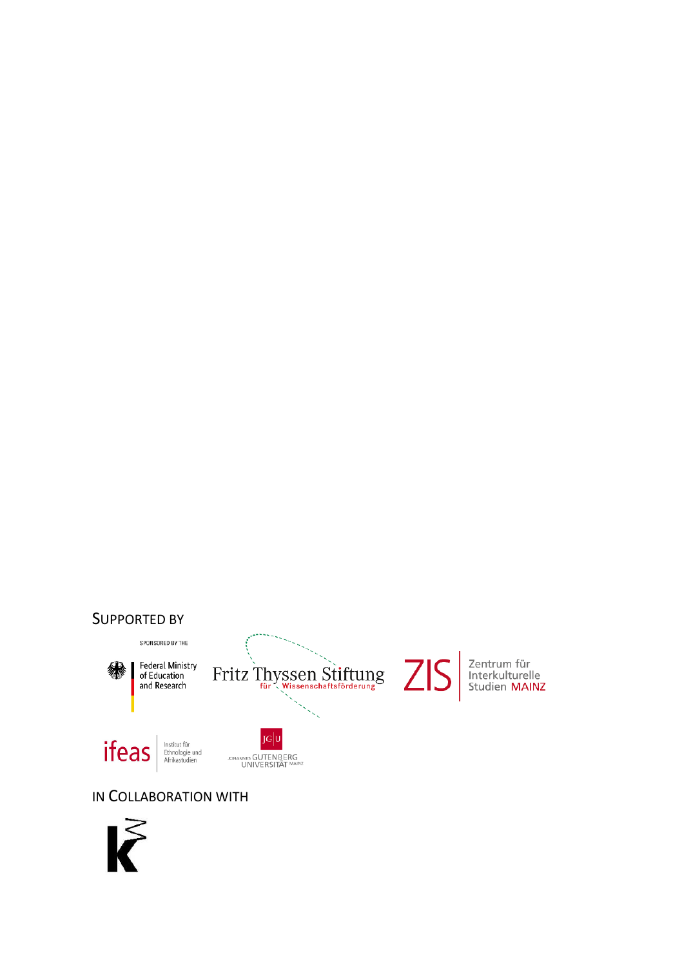#### SUPPORTED BY



#### IN COLLABORATION WITH

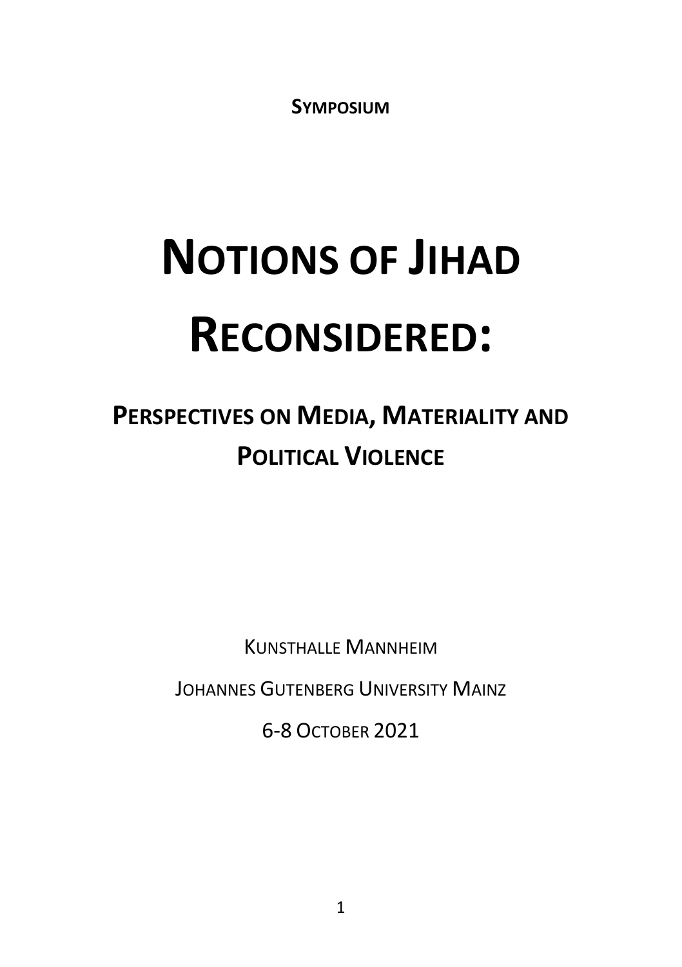**SYMPOSIUM**

# **NOTIONS OF JIHAD RECONSIDERED:**

# **PERSPECTIVES ON MEDIA, MATERIALITY AND POLITICAL VIOLENCE**

KUNSTHALLE MANNHEIM

JOHANNES GUTENBERG UNIVERSITY MAINZ

6-8 OCTOBER 2021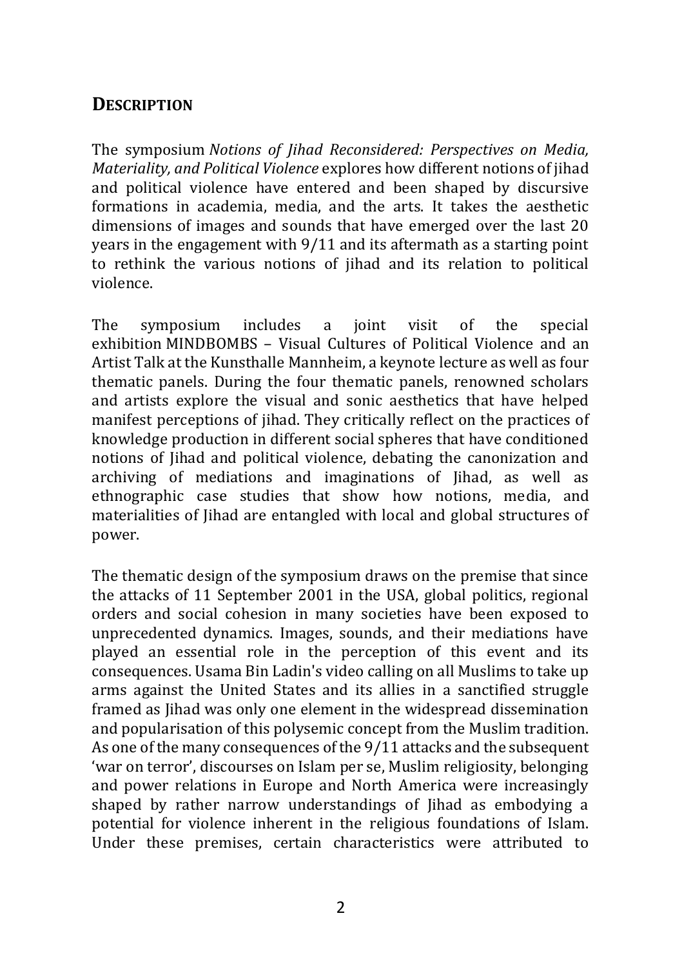#### **DESCRIPTION**

The symposium *[Notions of Jihad Reconsidered: Perspectives on Media,](https://notions-of-jihad.uni-mainz.de/)  [Materiality, and Political Violence](https://notions-of-jihad.uni-mainz.de/)* explores how different notions of jihad and political violence have entered and been shaped by discursive formations in academia, media, and the arts. It takes the aesthetic dimensions of images and sounds that have emerged over the last 20 years in the engagement with 9/11 and its aftermath as a starting point to rethink the various notions of jihad and its relation to political violence.

The symposium includes a joint visit of the special exhibition MINDBOMBS – [Visual Cultures of Political Violence](https://www.kuma.art/en/mindbombs) and an Artist Talk at the Kunsthalle Mannheim, a keynote lecture as well as four thematic panels. During the four thematic panels, renowned scholars and artists explore the visual and sonic aesthetics that have helped manifest perceptions of jihad. They critically reflect on the practices of knowledge production in different social spheres that have conditioned notions of Jihad and political violence, debating the canonization and archiving of mediations and imaginations of Jihad, as well as ethnographic case studies that show how notions, media, and materialities of Jihad are entangled with local and global structures of power.

The thematic design of the symposium draws on the premise that since the attacks of 11 September 2001 in the USA, global politics, regional orders and social cohesion in many societies have been exposed to unprecedented dynamics. Images, sounds, and their mediations have played an essential role in the perception of this event and its consequences. Usama Bin Ladin's video calling on all Muslims to take up arms against the United States and its allies in a sanctified struggle framed as Jihad was only one element in the widespread dissemination and popularisation of this polysemic concept from the Muslim tradition. As one of the many consequences of the 9/11 attacks and the subsequent 'war on terror', discourses on Islam per se, Muslim religiosity, belonging and power relations in Europe and North America were increasingly shaped by rather narrow understandings of Jihad as embodying a potential for violence inherent in the religious foundations of Islam. Under these premises, certain characteristics were attributed to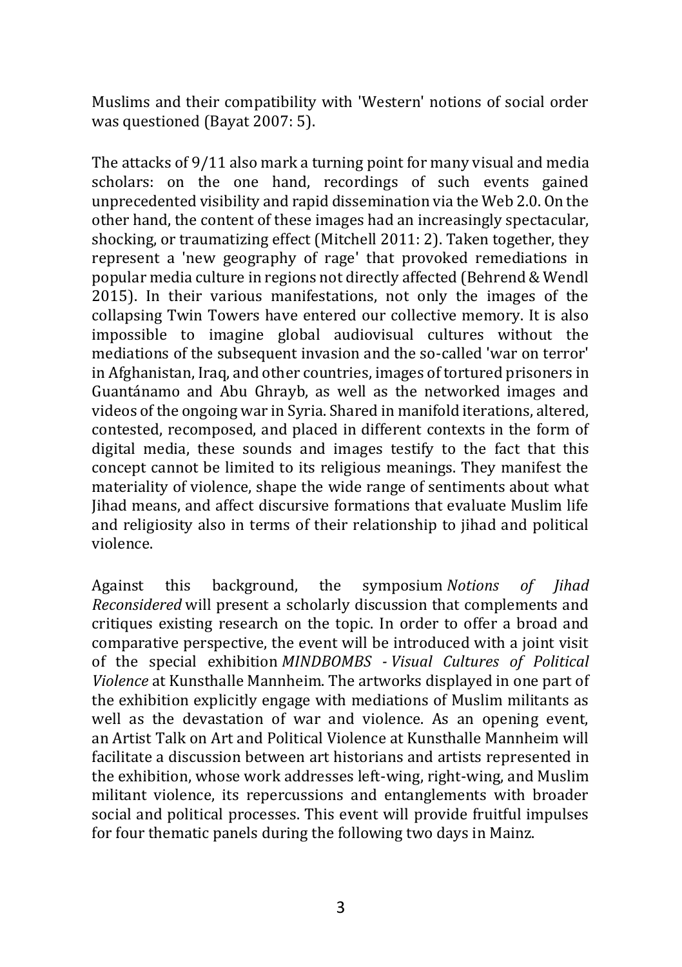Muslims and their compatibility with 'Western' notions of social order was questioned (Bayat 2007: 5).

The attacks of 9/11 also mark a turning point for many visual and media scholars: on the one hand, recordings of such events gained unprecedented visibility and rapid dissemination via the Web 2.0. On the other hand, the content of these images had an increasingly spectacular, shocking, or traumatizing effect (Mitchell 2011: 2). Taken together, they represent a 'new geography of rage' that provoked remediations in popular media culture in regions not directly affected (Behrend & Wendl 2015). In their various manifestations, not only the images of the collapsing Twin Towers have entered our collective memory. It is also impossible to imagine global audiovisual cultures without the mediations of the subsequent invasion and the so-called 'war on terror' in Afghanistan, Iraq, and other countries, images of tortured prisoners in Guantánamo and Abu Ghrayb, as well as the networked images and videos of the ongoing war in Syria. Shared in manifold iterations, altered, contested, recomposed, and placed in different contexts in the form of digital media, these sounds and images testify to the fact that this concept cannot be limited to its religious meanings. They manifest the materiality of violence, shape the wide range of sentiments about what Jihad means, and affect discursive formations that evaluate Muslim life and religiosity also in terms of their relationship to jihad and political violence.

Against this background, the symposium *Notions of Jihad Reconsidered* will present a scholarly discussion that complements and critiques existing research on the topic. In order to offer a broad and comparative perspective, the event will be introduced with a joint visit of the special exhibition *MINDBOMBS - Visual Cultures of Political Violence* at Kunsthalle Mannheim. The artworks displayed in one part of the exhibition explicitly engage with mediations of Muslim militants as well as the devastation of war and violence. As an opening event, an Artist Talk on Art and Political Violence at Kunsthalle Mannheim will facilitate a discussion between art historians and artists represented in the exhibition, whose work addresses left-wing, right-wing, and Muslim militant violence, its repercussions and entanglements with broader social and political processes. This event will provide fruitful impulses for four thematic panels during the following two days in Mainz.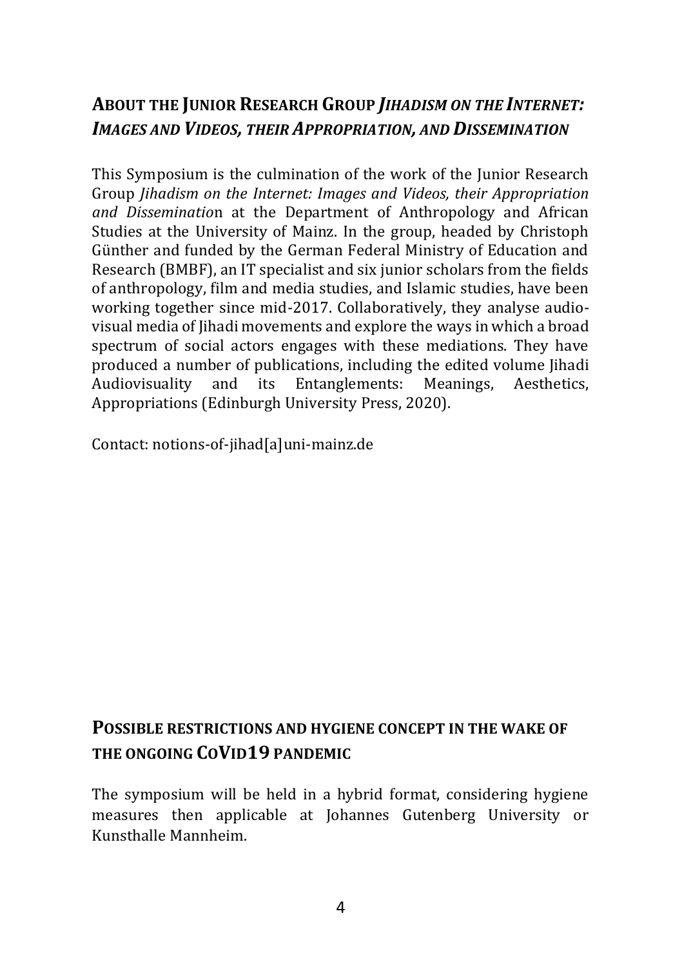# **ABOUT THE JUNIOR RESEARCH GROUP** *JIHADISM ON THE INTERNET: IMAGES AND VIDEOS, THEIR APPROPRIATION, AND DISSEMINATION*

This Symposium is the culmination of the work of the Junior Research Group *Jihadism on the Internet: Images and Videos, their Appropriation and Disseminatio*n at the Department of Anthropology and African Studies at the University of Mainz. In the group, headed by Christoph Günther and funded by the German Federal Ministry of Education and Research (BMBF), an IT specialist and six junior scholars from the fields of anthropology, film and media studies, and Islamic studies, have been working together since mid-2017. Collaboratively, they analyse audiovisual media of Jihadi movements and explore the ways in which a broad spectrum of social actors engages with these mediations. They have produced a number of publications, including the edited volume Jihadi Audiovisuality and its Entanglements: Meanings, Aesthetics, Appropriations (Edinburgh University Press, 2020).

Contact: [notions-of-jihad\[a\]uni-mainz.de](mailto:notions-of-jihad@uni-mainz.de)

# **POSSIBLE RESTRICTIONS AND HYGIENE CONCEPT IN THE WAKE OF THE ONGOING COVID19 PANDEMIC**

The symposium will be held in a hybrid format, considering hygiene measures then applicable at Johannes Gutenberg University or Kunsthalle Mannheim.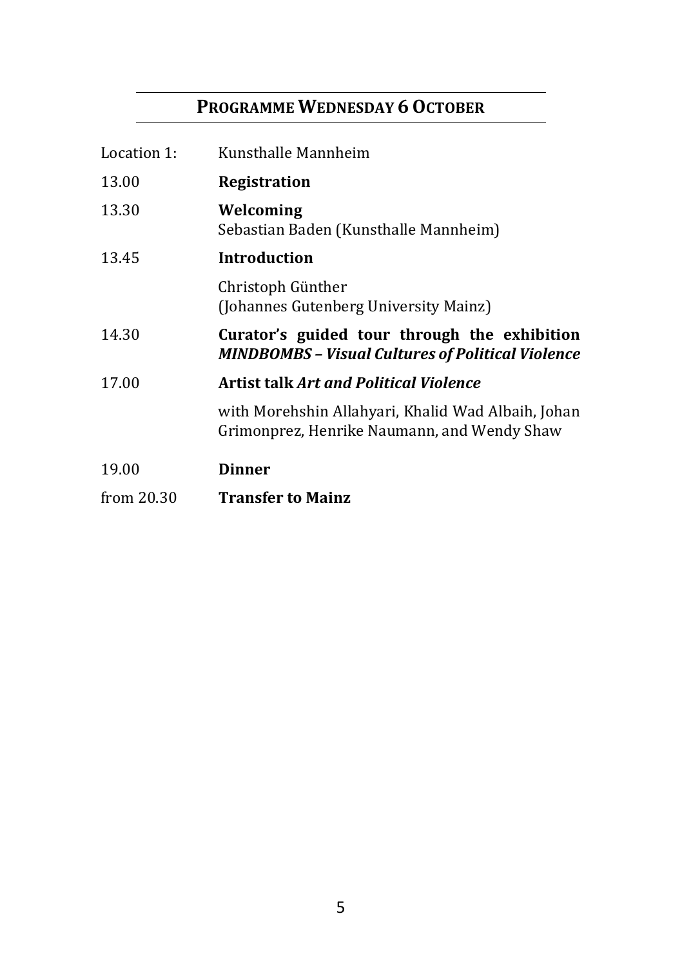# **PROGRAMME WEDNESDAY 6OCTOBER**

| Location 1:  | Kunsthalle Mannheim                                                                                      |  |
|--------------|----------------------------------------------------------------------------------------------------------|--|
| 13.00        | Registration                                                                                             |  |
| 13.30        | Welcoming<br>Sebastian Baden (Kunsthalle Mannheim)                                                       |  |
| 13.45        | Introduction                                                                                             |  |
|              | Christoph Günther<br>(Johannes Gutenberg University Mainz)                                               |  |
| 14.30        | Curator's guided tour through the exhibition<br><b>MINDBOMBS - Visual Cultures of Political Violence</b> |  |
| 17.00        | <b>Artist talk Art and Political Violence</b>                                                            |  |
|              | with Morehshin Allahyari, Khalid Wad Albaih, Johan<br>Grimonprez, Henrike Naumann, and Wendy Shaw        |  |
| 19.00        | <b>Dinner</b>                                                                                            |  |
| from $20.30$ | <b>Transfer to Mainz</b>                                                                                 |  |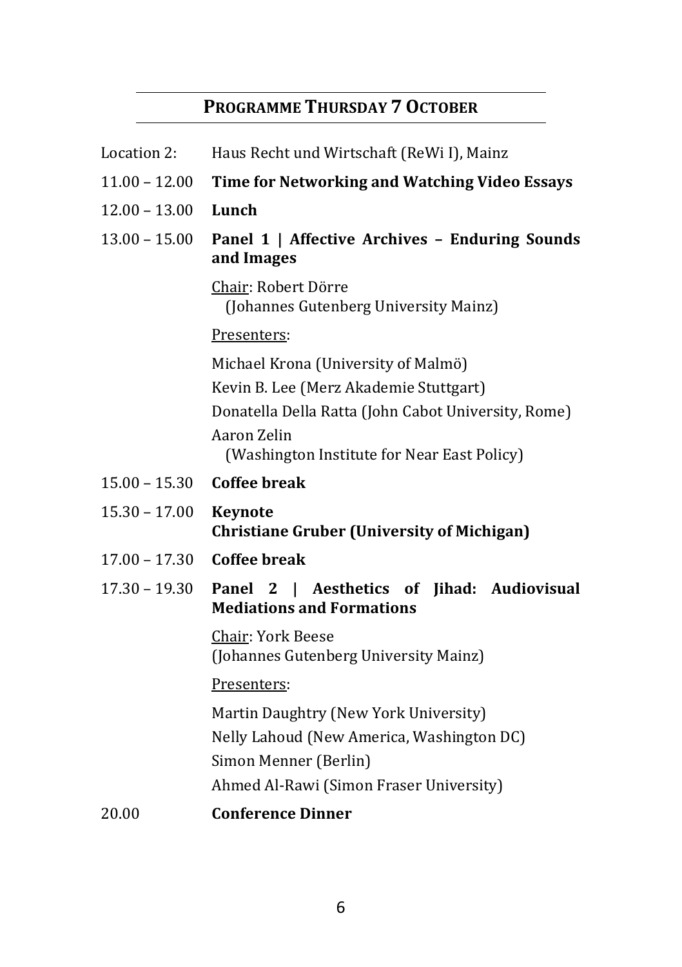# **PROGRAMME THURSDAY 7 OCTOBER**

| Location 2:     | Haus Recht und Wirtschaft (ReWi I), Mainz                                                                   |  |  |
|-----------------|-------------------------------------------------------------------------------------------------------------|--|--|
| $11.00 - 12.00$ | Time for Networking and Watching Video Essays                                                               |  |  |
| $12.00 - 13.00$ | Lunch                                                                                                       |  |  |
| $13.00 - 15.00$ | Panel 1   Affective Archives - Enduring Sounds<br>and Images                                                |  |  |
|                 | Chair: Robert Dörre<br>(Johannes Gutenberg University Mainz)                                                |  |  |
|                 | Presenters:                                                                                                 |  |  |
|                 | Michael Krona (University of Malmö)                                                                         |  |  |
|                 | Kevin B. Lee (Merz Akademie Stuttgart)                                                                      |  |  |
|                 | Donatella Della Ratta (John Cabot University, Rome)                                                         |  |  |
|                 | Aaron Zelin<br>(Washington Institute for Near East Policy)                                                  |  |  |
| $15.00 - 15.30$ | <b>Coffee break</b>                                                                                         |  |  |
| $15.30 - 17.00$ | <b>Keynote</b><br><b>Christiane Gruber (University of Michigan)</b>                                         |  |  |
| $17.00 - 17.30$ | Coffee break                                                                                                |  |  |
| $17.30 - 19.30$ | Aesthetics of Jihad: Audiovisual<br>Panel 2<br>$\mathbf{L}$<br><b>Mediations and Formations</b>             |  |  |
|                 | Chair: York Beese<br>(Johannes Gutenberg University Mainz)                                                  |  |  |
|                 | Presenters:                                                                                                 |  |  |
|                 | Martin Daughtry (New York University)<br>Nelly Lahoud (New America, Washington DC)<br>Simon Menner (Berlin) |  |  |
|                 | Ahmed Al-Rawi (Simon Fraser University)                                                                     |  |  |
| 20.00           | <b>Conference Dinner</b>                                                                                    |  |  |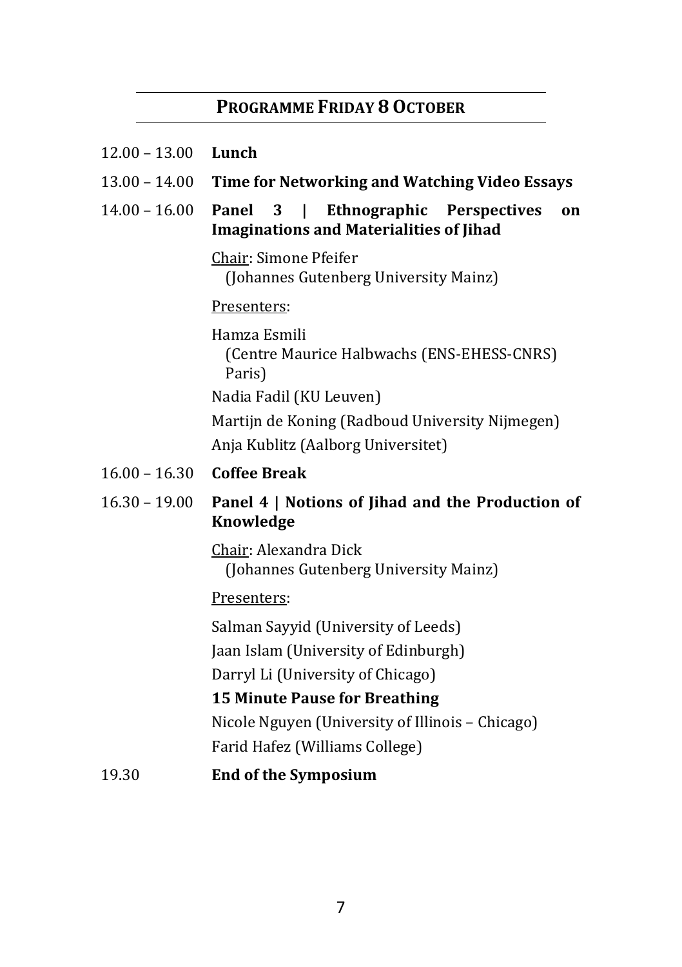#### **PROGRAMME FRIDAY 8OCTOBER**

| $12.00 - 13.00$ |  | Lunch |
|-----------------|--|-------|
|-----------------|--|-------|

- 13.00 14.00 **Time for Networking and Watching Video Essays**
- 14.00 16.00 **Panel 3 | Ethnographic Perspectives on Imaginations and Materialities of Jihad**

Chair: Simone Pfeifer (Johannes Gutenberg University Mainz)

#### Presenters:

Hamza Esmili (Centre Maurice Halbwachs (ENS-EHESS-CNRS) Paris) Nadia Fadil (KU Leuven) Martijn de Koning (Radboud University Nijmegen) Anja Kublitz (Aalborg Universitet)

- 16.00 16.30 **Coffee Break**
- 16.30 19.00 **Panel 4 | Notions of Jihad and the Production of Knowledge**

Chair: Alexandra Dick (Johannes Gutenberg University Mainz)

#### Presenters:

Salman Sayyid (University of Leeds)

Jaan Islam (University of Edinburgh)

Darryl Li (University of Chicago)

#### **15 Minute Pause for Breathing**

Nicole Nguyen (University of Illinois – Chicago) Farid Hafez (Williams College)

#### 19.30 **End of the Symposium**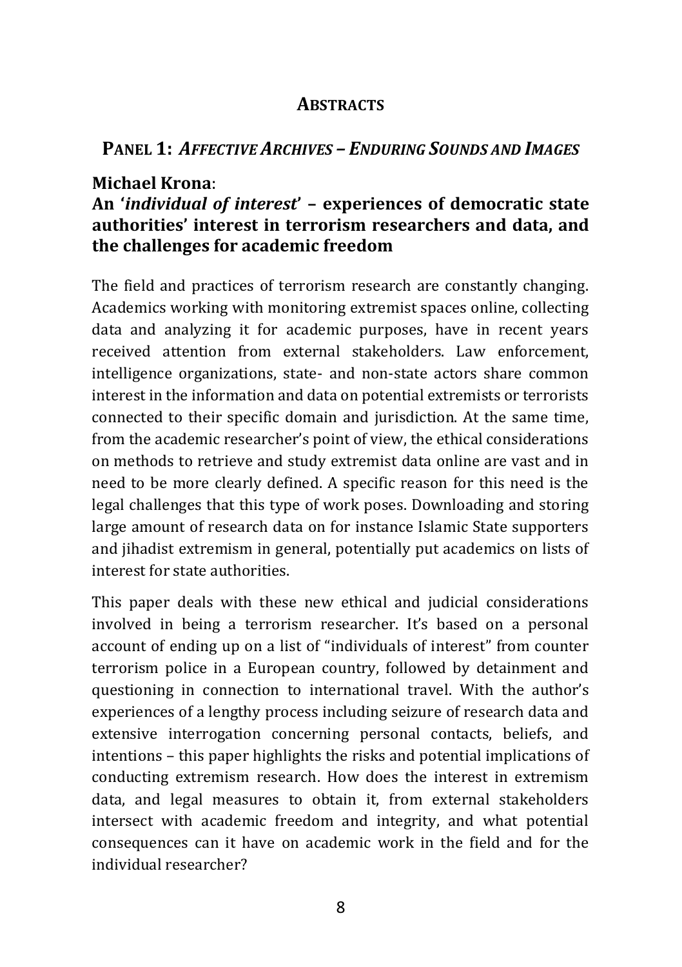#### **ABSTRACTS**

#### **PANEL 1:** *AFFECTIVE ARCHIVES – ENDURING SOUNDS AND IMAGES*

#### **Michael Krona**:

#### **An '***individual of interest***' – experiences of democratic state authorities' interest in terrorism researchers and data, and the challenges for academic freedom**

The field and practices of terrorism research are constantly changing. Academics working with monitoring extremist spaces online, collecting data and analyzing it for academic purposes, have in recent years received attention from external stakeholders. Law enforcement, intelligence organizations, state- and non-state actors share common interest in the information and data on potential extremists or terrorists connected to their specific domain and jurisdiction. At the same time, from the academic researcher's point of view, the ethical considerations on methods to retrieve and study extremist data online are vast and in need to be more clearly defined. A specific reason for this need is the legal challenges that this type of work poses. Downloading and storing large amount of research data on for instance Islamic State supporters and jihadist extremism in general, potentially put academics on lists of interest for state authorities.

This paper deals with these new ethical and judicial considerations involved in being a terrorism researcher. It's based on a personal account of ending up on a list of "individuals of interest" from counter terrorism police in a European country, followed by detainment and questioning in connection to international travel. With the author's experiences of a lengthy process including seizure of research data and extensive interrogation concerning personal contacts, beliefs, and intentions – this paper highlights the risks and potential implications of conducting extremism research. How does the interest in extremism data, and legal measures to obtain it, from external stakeholders intersect with academic freedom and integrity, and what potential consequences can it have on academic work in the field and for the individual researcher?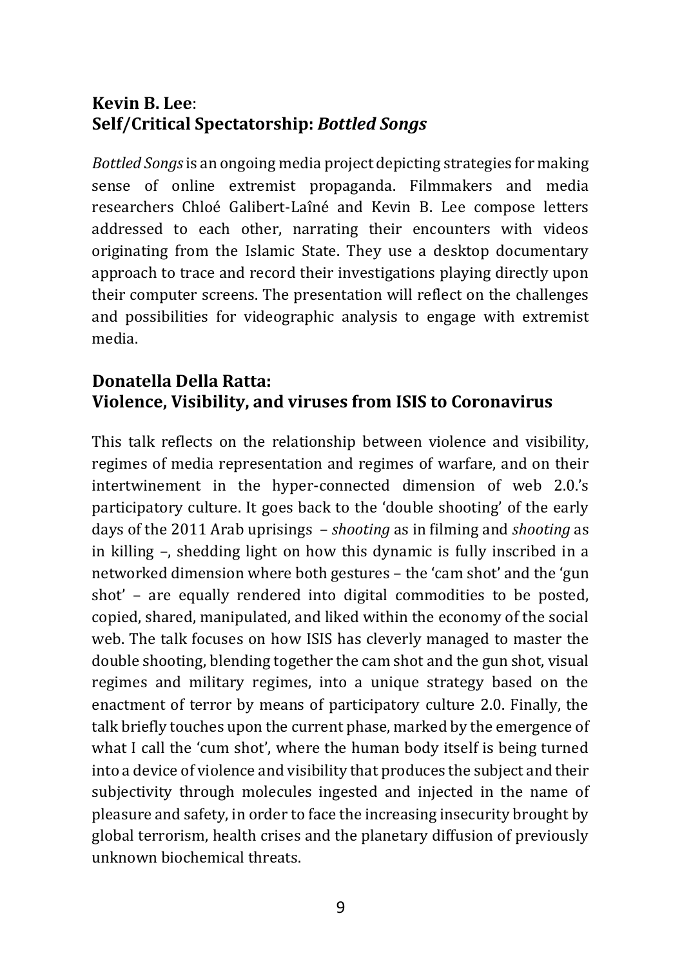#### **Kevin B. Lee**: **Self/Critical Spectatorship:** *Bottled Songs*

*Bottled Songs*is an ongoing media project depicting strategies for making sense of online extremist propaganda. Filmmakers and media researchers Chloé Galibert-Laîné and Kevin B. Lee compose letters addressed to each other, narrating their encounters with videos originating from the Islamic State. They use a desktop documentary approach to trace and record their investigations playing directly upon their computer screens. The presentation will reflect on the challenges and possibilities for videographic analysis to engage with extremist media.

# **Donatella Della Ratta: Violence, Visibility, and viruses from ISIS to Coronavirus**

This talk reflects on the relationship between violence and visibility, regimes of media representation and regimes of warfare, and on their intertwinement in the hyper-connected dimension of web 2.0.'s participatory culture. It goes back to the 'double shooting' of the early days of the 2011 Arab uprisings – *shooting* as in filming and *shooting* as in killing –, shedding light on how this dynamic is fully inscribed in a networked dimension where both gestures – the 'cam shot' and the 'gun shot' – are equally rendered into digital commodities to be posted, copied, shared, manipulated, and liked within the economy of the social web. The talk focuses on how ISIS has cleverly managed to master the double shooting, blending together the cam shot and the gun shot, visual regimes and military regimes, into a unique strategy based on the enactment of terror by means of participatory culture 2.0. Finally, the talk briefly touches upon the current phase, marked by the emergence of what I call the 'cum shot', where the human body itself is being turned into a device of violence and visibility that produces the subject and their subjectivity through molecules ingested and injected in the name of pleasure and safety, in order to face the increasing insecurity brought by global terrorism, health crises and the planetary diffusion of previously unknown biochemical threats.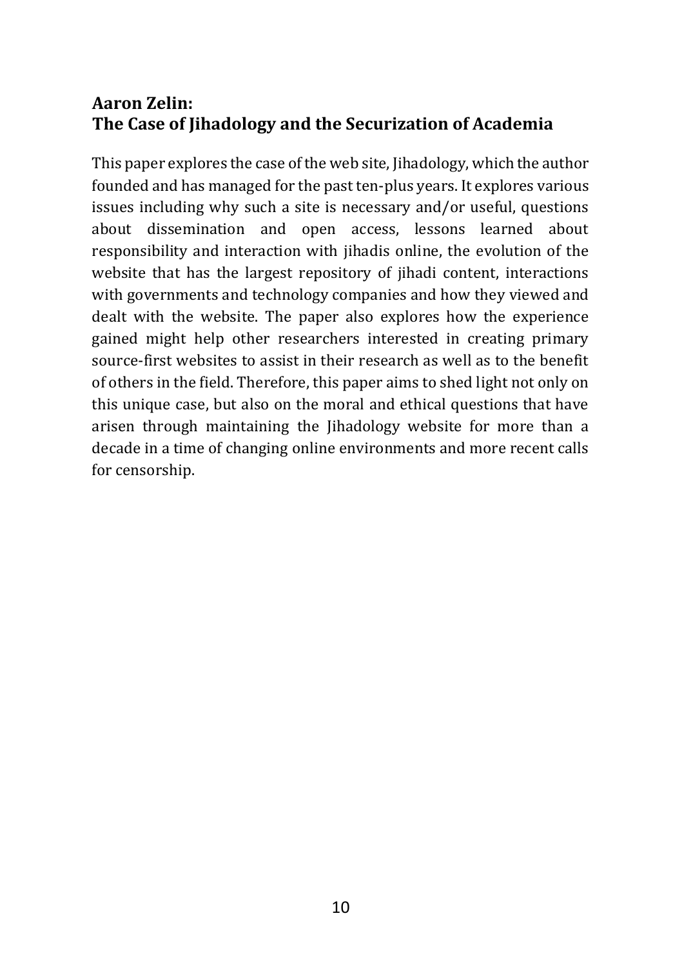# **Aaron Zelin: The Case of Jihadology and the Securization of Academia**

This paper explores the case of the web site, Jihadology, which the author founded and has managed for the past ten-plus years. It explores various issues including why such a site is necessary and/or useful, questions about dissemination and open access, lessons learned about responsibility and interaction with jihadis online, the evolution of the website that has the largest repository of jihadi content, interactions with governments and technology companies and how they viewed and dealt with the website. The paper also explores how the experience gained might help other researchers interested in creating primary source-first websites to assist in their research as well as to the benefit of others in the field. Therefore, this paper aims to shed light not only on this unique case, but also on the moral and ethical questions that have arisen through maintaining the Jihadology website for more than a decade in a time of changing online environments and more recent calls for censorship.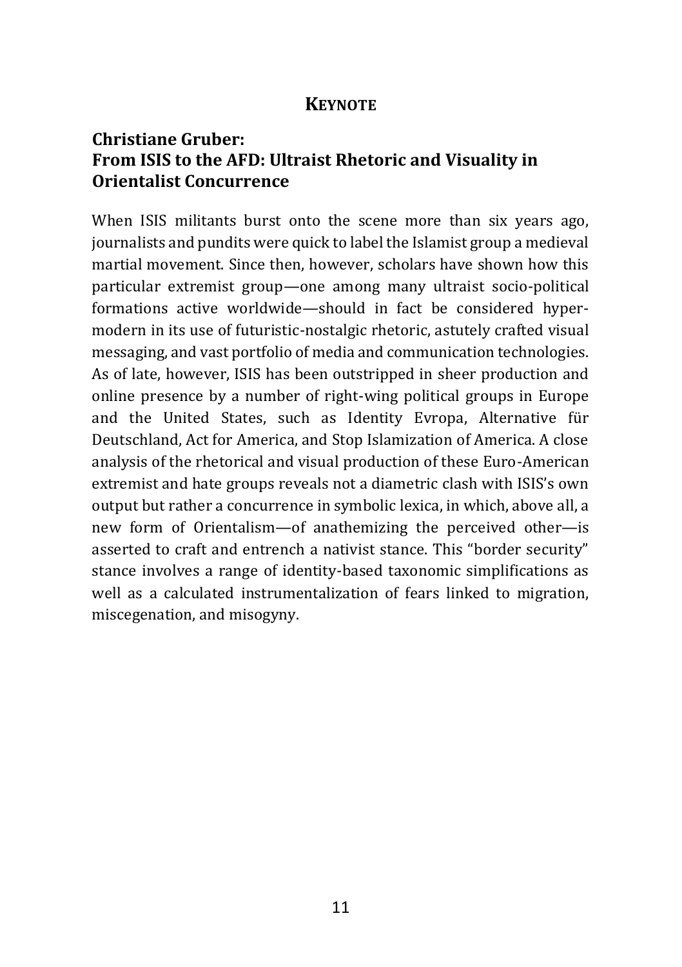#### **KEYNOTE**

### **Christiane Gruber: From ISIS to the AFD: Ultraist Rhetoric and Visuality in Orientalist Concurrence**

When ISIS militants burst onto the scene more than six years ago, journalists and pundits were quick to label the Islamist group a medieval martial movement. Since then, however, scholars have shown how this particular extremist group—one among many ultraist socio-political formations active worldwide—should in fact be considered hypermodern in its use of futuristic-nostalgic rhetoric, astutely crafted visual messaging, and vast portfolio of media and communication technologies. As of late, however, ISIS has been outstripped in sheer production and online presence by a number of right-wing political groups in Europe and the United States, such as Identity Evropa, Alternative für Deutschland, Act for America, and Stop Islamization of America. A close analysis of the rhetorical and visual production of these Euro-American extremist and hate groups reveals not a diametric clash with ISIS's own output but rather a concurrence in symbolic lexica, in which, above all, a new form of Orientalism—of anathemizing the perceived other—is asserted to craft and entrench a nativist stance. This "border security" stance involves a range of identity-based taxonomic simplifications as well as a calculated instrumentalization of fears linked to migration, miscegenation, and misogyny.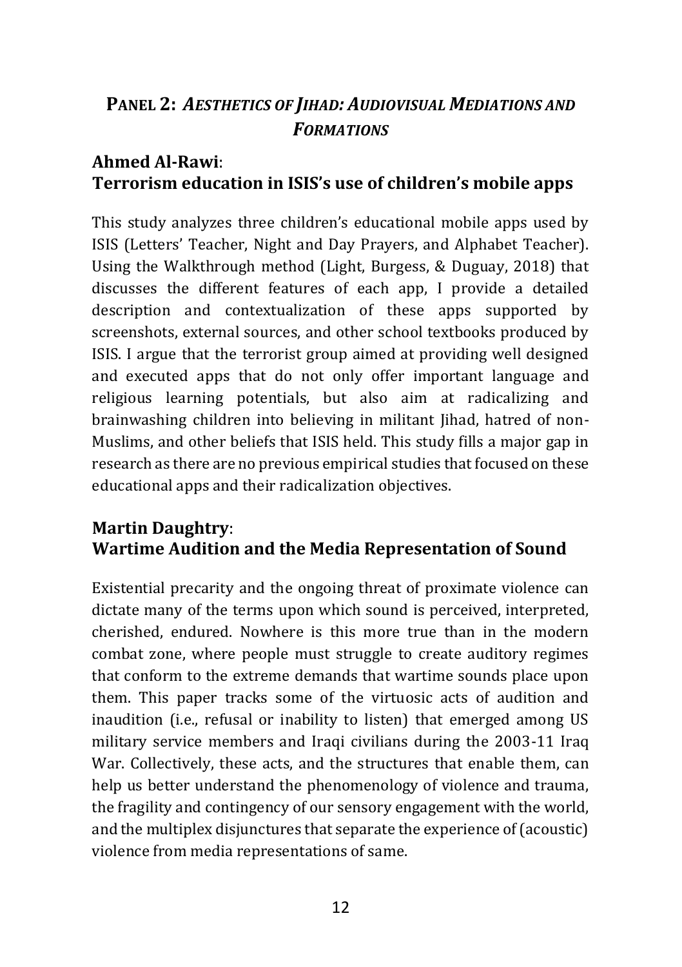# **PANEL 2:** *AESTHETICS OF JIHAD: AUDIOVISUAL MEDIATIONS AND FORMATIONS*

#### **Ahmed Al-Rawi**: **Terrorism education in ISIS's use of children's mobile apps**

This study analyzes three children's educational mobile apps used by ISIS (Letters' Teacher, Night and Day Prayers, and Alphabet Teacher). Using the Walkthrough method (Light, Burgess, & Duguay, 2018) that discusses the different features of each app, I provide a detailed description and contextualization of these apps supported by screenshots, external sources, and other school textbooks produced by ISIS. I argue that the terrorist group aimed at providing well designed and executed apps that do not only offer important language and religious learning potentials, but also aim at radicalizing and brainwashing children into believing in militant Jihad, hatred of non-Muslims, and other beliefs that ISIS held. This study fills a major gap in research as there are no previous empirical studies that focused on these educational apps and their radicalization objectives.

#### **Martin Daughtry**: **Wartime Audition and the Media Representation of Sound**

Existential precarity and the ongoing threat of proximate violence can dictate many of the terms upon which sound is perceived, interpreted, cherished, endured. Nowhere is this more true than in the modern combat zone, where people must struggle to create auditory regimes that conform to the extreme demands that wartime sounds place upon them. This paper tracks some of the virtuosic acts of audition and inaudition (i.e., refusal or inability to listen) that emerged among US military service members and Iraqi civilians during the 2003-11 Iraq War. Collectively, these acts, and the structures that enable them, can help us better understand the phenomenology of violence and trauma, the fragility and contingency of our sensory engagement with the world, and the multiplex disjunctures that separate the experience of (acoustic) violence from media representations of same.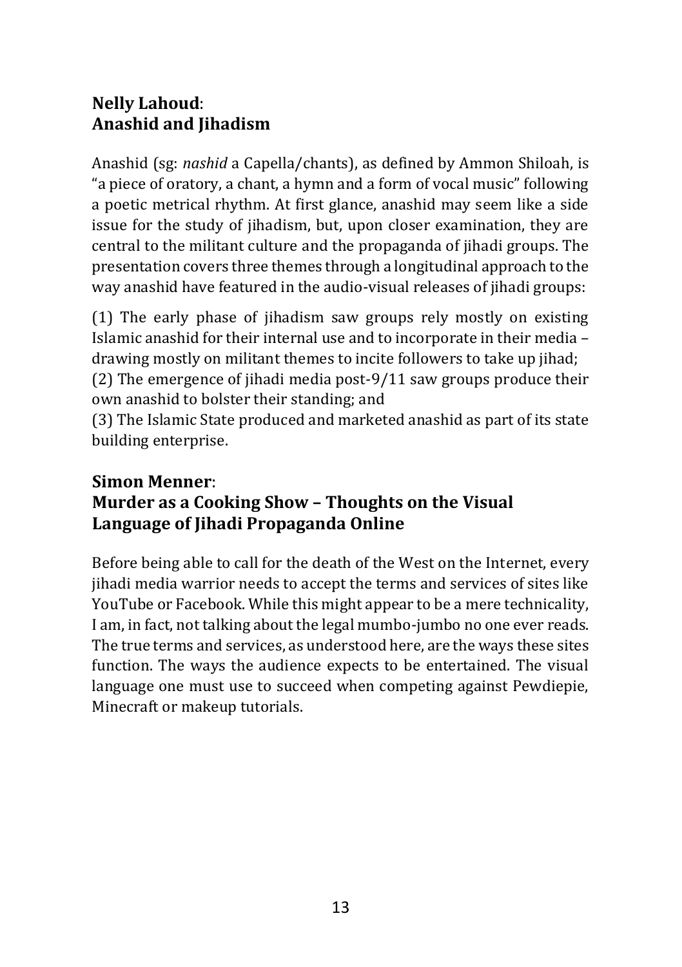# **Nelly Lahoud**: **Anashid and Jihadism**

Anashid (sg: *nashid* a Capella/chants), as defined by Ammon Shiloah, is "a piece of oratory, a chant, a hymn and a form of vocal music" following a poetic metrical rhythm. At first glance, anashid may seem like a side issue for the study of jihadism, but, upon closer examination, they are central to the militant culture and the propaganda of jihadi groups. The presentation covers three themes through a longitudinal approach to the way anashid have featured in the audio-visual releases of jihadi groups:

(1) The early phase of jihadism saw groups rely mostly on existing Islamic anashid for their internal use and to incorporate in their media – drawing mostly on militant themes to incite followers to take up jihad;

(2) The emergence of jihadi media post-9/11 saw groups produce their own anashid to bolster their standing; and

(3) The Islamic State produced and marketed anashid as part of its state building enterprise.

# **Simon Menner**: **Murder as a Cooking Show – Thoughts on the Visual Language of Jihadi Propaganda Online**

Before being able to call for the death of the West on the Internet, every jihadi media warrior needs to accept the terms and services of sites like YouTube or Facebook. While this might appear to be a mere technicality, I am, in fact, not talking about the legal mumbo-jumbo no one ever reads. The true terms and services, as understood here, are the ways these sites function. The ways the audience expects to be entertained. The visual language one must use to succeed when competing against Pewdiepie, Minecraft or makeup tutorials.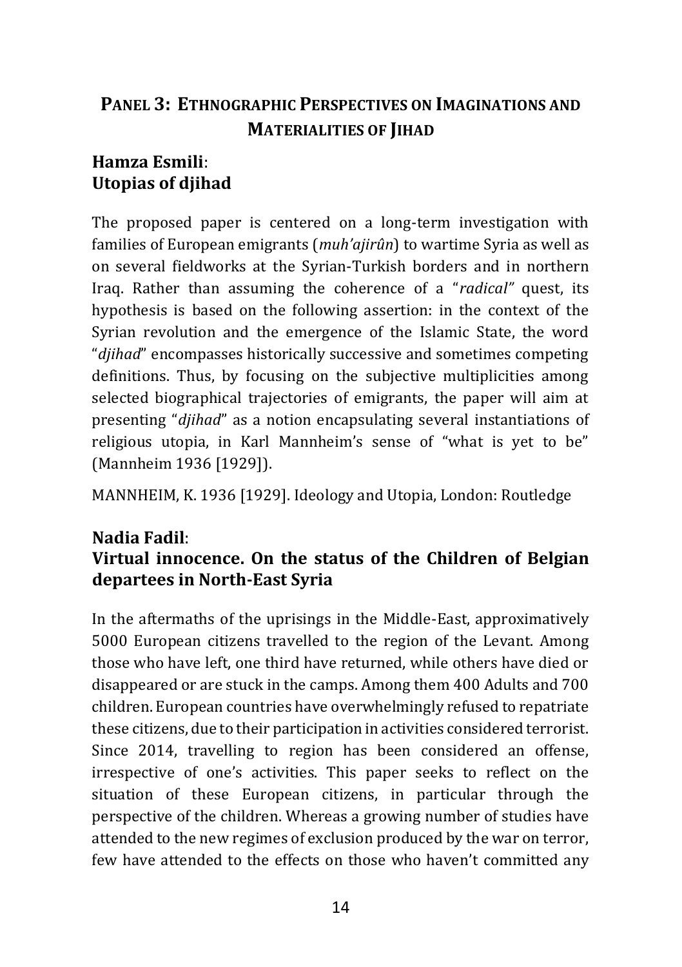# **PANEL 3: ETHNOGRAPHIC PERSPECTIVES ON IMAGINATIONS AND MATERIALITIES OF JIHAD**

# **Hamza Esmili**: **Utopias of djihad**

The proposed paper is centered on a long-term investigation with families of European emigrants (*muh'ajirûn*) to wartime Syria as well as on several fieldworks at the Syrian-Turkish borders and in northern Iraq. Rather than assuming the coherence of a "*radical"* quest, its hypothesis is based on the following assertion: in the context of the Syrian revolution and the emergence of the Islamic State, the word "*djihad*" encompasses historically successive and sometimes competing definitions. Thus, by focusing on the subjective multiplicities among selected biographical trajectories of emigrants, the paper will aim at presenting "*djihad*" as a notion encapsulating several instantiations of religious utopia, in Karl Mannheim's sense of "what is yet to be" (Mannheim 1936 [1929]).

MANNHEIM, K. 1936 [1929]. Ideology and Utopia, London: Routledge

# **Nadia Fadil**: **Virtual innocence. On the status of the Children of Belgian departees in North-East Syria**

In the aftermaths of the uprisings in the Middle-East, approximatively 5000 European citizens travelled to the region of the Levant. Among those who have left, one third have returned, while others have died or disappeared or are stuck in the camps. Among them 400 Adults and 700 children. European countries have overwhelmingly refused to repatriate these citizens, due to their participation in activities considered terrorist. Since 2014, travelling to region has been considered an offense, irrespective of one's activities. This paper seeks to reflect on the situation of these European citizens, in particular through the perspective of the children. Whereas a growing number of studies have attended to the new regimes of exclusion produced by the war on terror, few have attended to the effects on those who haven't committed any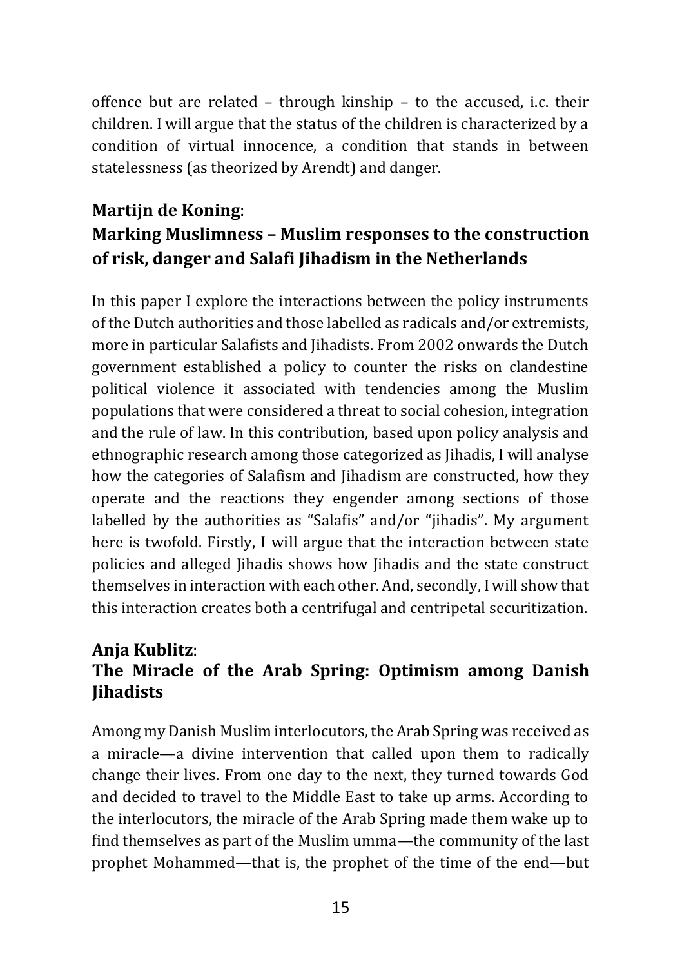offence but are related – through kinship – to the accused, i.c. their children. I will argue that the status of the children is characterized by a condition of virtual innocence, a condition that stands in between statelessness (as theorized by Arendt) and danger.

# **Martijn de Koning**: **Marking Muslimness – Muslim responses to the construction of risk, danger and Salafi Jihadism in the Netherlands**

In this paper I explore the interactions between the policy instruments of the Dutch authorities and those labelled as radicals and/or extremists, more in particular Salafists and Jihadists. From 2002 onwards the Dutch government established a policy to counter the risks on clandestine political violence it associated with tendencies among the Muslim populations that were considered a threat to social cohesion, integration and the rule of law. In this contribution, based upon policy analysis and ethnographic research among those categorized as Jihadis, I will analyse how the categories of Salafism and Jihadism are constructed, how they operate and the reactions they engender among sections of those labelled by the authorities as "Salafis" and/or "jihadis". My argument here is twofold. Firstly, I will argue that the interaction between state policies and alleged Jihadis shows how Jihadis and the state construct themselves in interaction with each other. And, secondly, I will show that this interaction creates both a centrifugal and centripetal securitization.

# **Anja Kublitz**: **The Miracle of the Arab Spring: Optimism among Danish Jihadists**

Among my Danish Muslim interlocutors, the Arab Spring was received as a miracle—a divine intervention that called upon them to radically change their lives. From one day to the next, they turned towards God and decided to travel to the Middle East to take up arms. According to the interlocutors, the miracle of the Arab Spring made them wake up to find themselves as part of the Muslim umma—the community of the last prophet Mohammed—that is, the prophet of the time of the end—but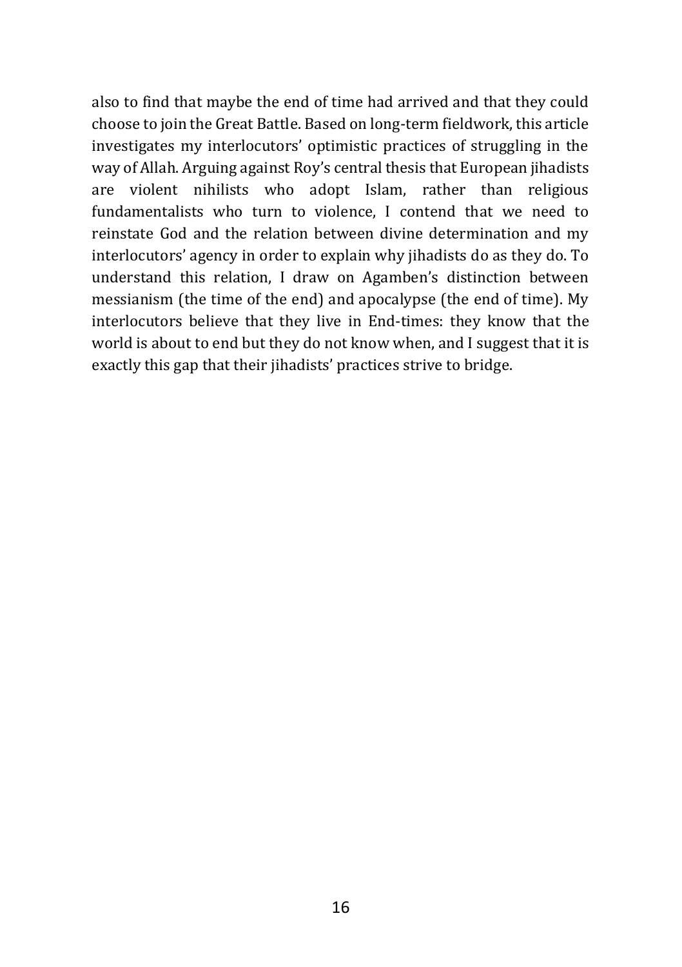also to find that maybe the end of time had arrived and that they could choose to join the Great Battle. Based on long-term fieldwork, this article investigates my interlocutors' optimistic practices of struggling in the way of Allah. Arguing against Roy's central thesis that European jihadists are violent nihilists who adopt Islam, rather than religious fundamentalists who turn to violence, I contend that we need to reinstate God and the relation between divine determination and my interlocutors' agency in order to explain why jihadists do as they do. To understand this relation, I draw on Agamben's distinction between messianism (the time of the end) and apocalypse (the end of time). My interlocutors believe that they live in End-times: they know that the world is about to end but they do not know when, and I suggest that it is exactly this gap that their jihadists' practices strive to bridge.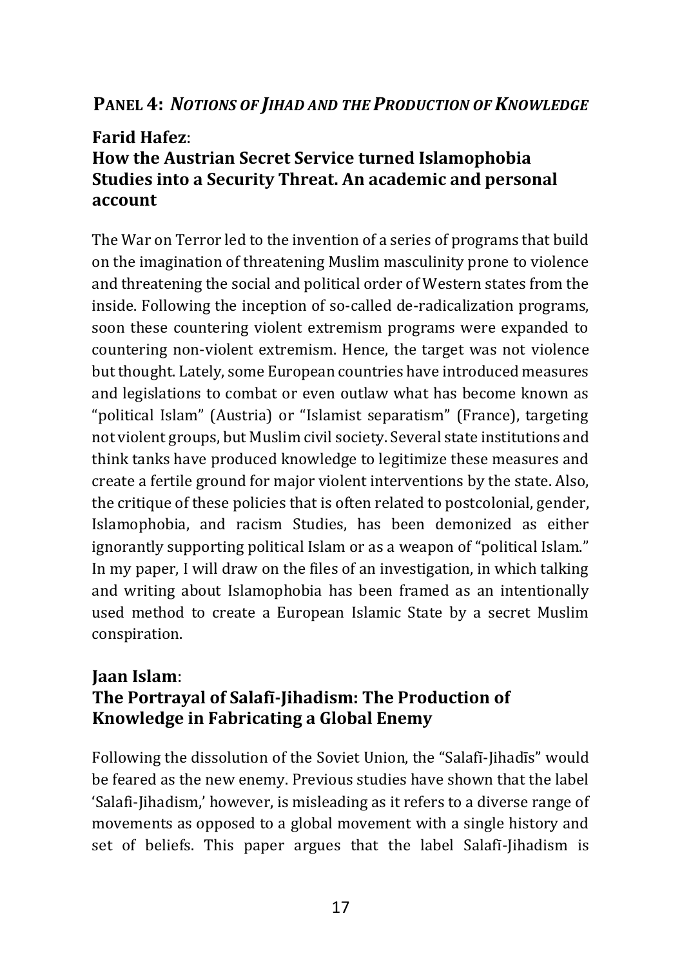#### **PANEL 4:** *NOTIONS OF JIHAD AND THE PRODUCTION OF KNOWLEDGE*

#### **Farid Hafez**:

# **How the Austrian Secret Service turned Islamophobia Studies into a Security Threat. An academic and personal account**

The War on Terror led to the invention of a series of programs that build on the imagination of threatening Muslim masculinity prone to violence and threatening the social and political order of Western states from the inside. Following the inception of so-called de-radicalization programs, soon these countering violent extremism programs were expanded to countering non-violent extremism. Hence, the target was not violence but thought. Lately, some European countries have introduced measures and legislations to combat or even outlaw what has become known as "political Islam" (Austria) or "Islamist separatism" (France), targeting not violent groups, but Muslim civil society. Several state institutions and think tanks have produced knowledge to legitimize these measures and create a fertile ground for major violent interventions by the state. Also, the critique of these policies that is often related to postcolonial, gender, Islamophobia, and racism Studies, has been demonized as either ignorantly supporting political Islam or as a weapon of "political Islam." In my paper, I will draw on the files of an investigation, in which talking and writing about Islamophobia has been framed as an intentionally used method to create a European Islamic State by a secret Muslim conspiration.

#### **Jaan Islam**: **The Portrayal of Salafī-Jihadism: The Production of Knowledge in Fabricating a Global Enemy**

Following the dissolution of the Soviet Union, the "Salafī-Jihadīs" would be feared as the new enemy. Previous studies have shown that the label 'Salafi-Jihadism,' however, is misleading as it refers to a diverse range of movements as opposed to a global movement with a single history and set of beliefs. This paper argues that the label Salafī-Jihadism is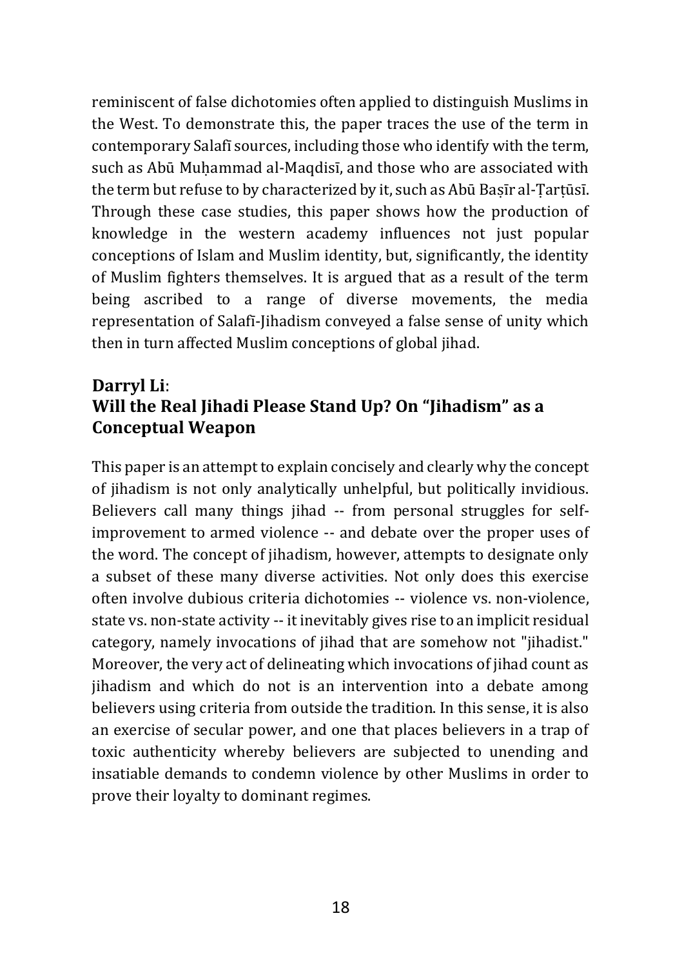reminiscent of false dichotomies often applied to distinguish Muslims in the West. To demonstrate this, the paper traces the use of the term in contemporary Salafī sources, including those who identify with the term, such as Abū Muhammad al-Maqdisī, and those who are associated with the term but refuse to by characterized by it, such as Abū Basīr al-Tartūsī. Through these case studies, this paper shows how the production of knowledge in the western academy influences not just popular conceptions of Islam and Muslim identity, but, significantly, the identity of Muslim fighters themselves. It is argued that as a result of the term being ascribed to a range of diverse movements, the media representation of Salafī-Jihadism conveyed a false sense of unity which then in turn affected Muslim conceptions of global jihad.

#### **Darryl Li**: **Will the Real Jihadi Please Stand Up? On "Jihadism" as a Conceptual Weapon**

This paper is an attempt to explain concisely and clearly why the concept of jihadism is not only analytically unhelpful, but politically invidious. Believers call many things jihad -- from personal struggles for selfimprovement to armed violence -- and debate over the proper uses of the word. The concept of jihadism, however, attempts to designate only a subset of these many diverse activities. Not only does this exercise often involve dubious criteria dichotomies -- violence vs. non-violence, state vs. non-state activity -- it inevitably gives rise to an implicit residual category, namely invocations of jihad that are somehow not "jihadist." Moreover, the very act of delineating which invocations of jihad count as jihadism and which do not is an intervention into a debate among believers using criteria from outside the tradition. In this sense, it is also an exercise of secular power, and one that places believers in a trap of toxic authenticity whereby believers are subjected to unending and insatiable demands to condemn violence by other Muslims in order to prove their loyalty to dominant regimes.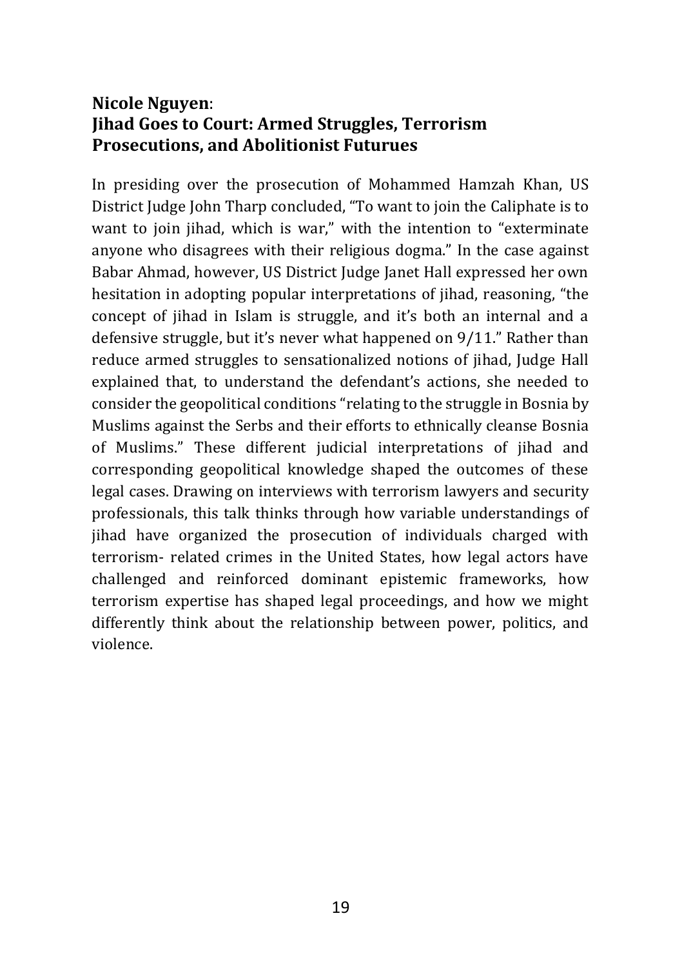#### **Nicole Nguyen**: **Jihad Goes to Court: Armed Struggles, Terrorism Prosecutions, and Abolitionist Futurues**

In presiding over the prosecution of Mohammed Hamzah Khan, US District Judge John Tharp concluded, "To want to join the Caliphate is to want to join jihad, which is war," with the intention to "exterminate anyone who disagrees with their religious dogma." In the case against Babar Ahmad, however, US District Judge Janet Hall expressed her own hesitation in adopting popular interpretations of jihad, reasoning, "the concept of jihad in Islam is struggle, and it's both an internal and a defensive struggle, but it's never what happened on 9/11." Rather than reduce armed struggles to sensationalized notions of jihad, Judge Hall explained that, to understand the defendant's actions, she needed to consider the geopolitical conditions "relating to the struggle in Bosnia by Muslims against the Serbs and their efforts to ethnically cleanse Bosnia of Muslims." These different judicial interpretations of jihad and corresponding geopolitical knowledge shaped the outcomes of these legal cases. Drawing on interviews with terrorism lawyers and security professionals, this talk thinks through how variable understandings of jihad have organized the prosecution of individuals charged with terrorism- related crimes in the United States, how legal actors have challenged and reinforced dominant epistemic frameworks, how terrorism expertise has shaped legal proceedings, and how we might differently think about the relationship between power, politics, and violence.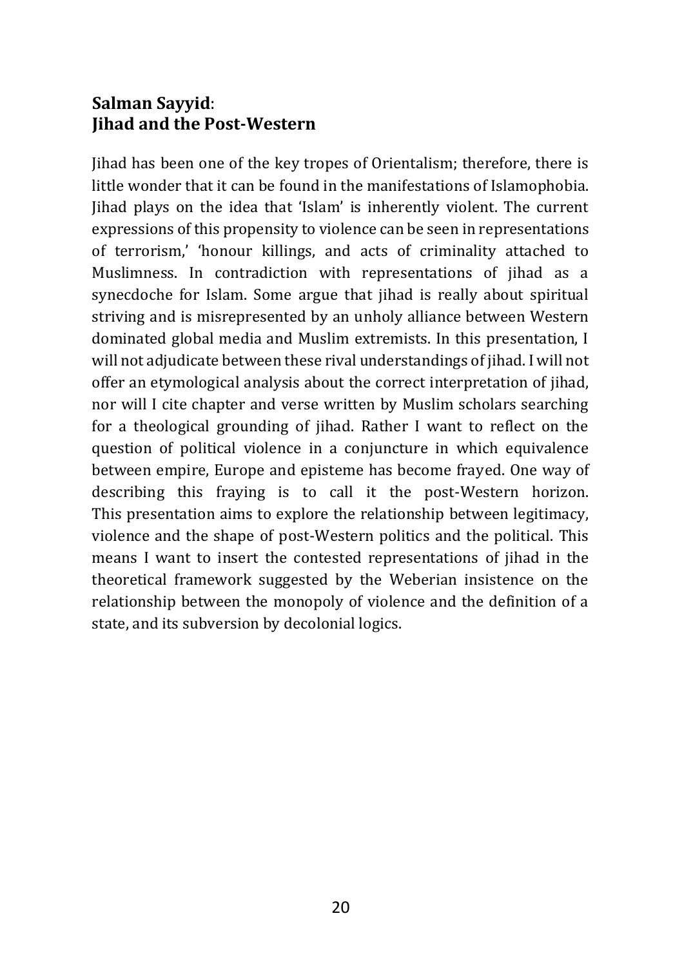# **Salman Sayyid**: **Jihad and the Post-Western**

Jihad has been one of the key tropes of Orientalism; therefore, there is little wonder that it can be found in the manifestations of Islamophobia. Jihad plays on the idea that 'Islam' is inherently violent. The current expressions of this propensity to violence can be seen in representations of terrorism,' 'honour killings, and acts of criminality attached to Muslimness. In contradiction with representations of jihad as a synecdoche for Islam. Some argue that jihad is really about spiritual striving and is misrepresented by an unholy alliance between Western dominated global media and Muslim extremists. In this presentation, I will not adjudicate between these rival understandings of jihad. I will not offer an etymological analysis about the correct interpretation of jihad, nor will I cite chapter and verse written by Muslim scholars searching for a theological grounding of jihad. Rather I want to reflect on the question of political violence in a conjuncture in which equivalence between empire, Europe and episteme has become frayed. One way of describing this fraying is to call it the post-Western horizon. This presentation aims to explore the relationship between legitimacy, violence and the shape of post-Western politics and the political. This means I want to insert the contested representations of jihad in the theoretical framework suggested by the Weberian insistence on the relationship between the monopoly of violence and the definition of a state, and its subversion by decolonial logics.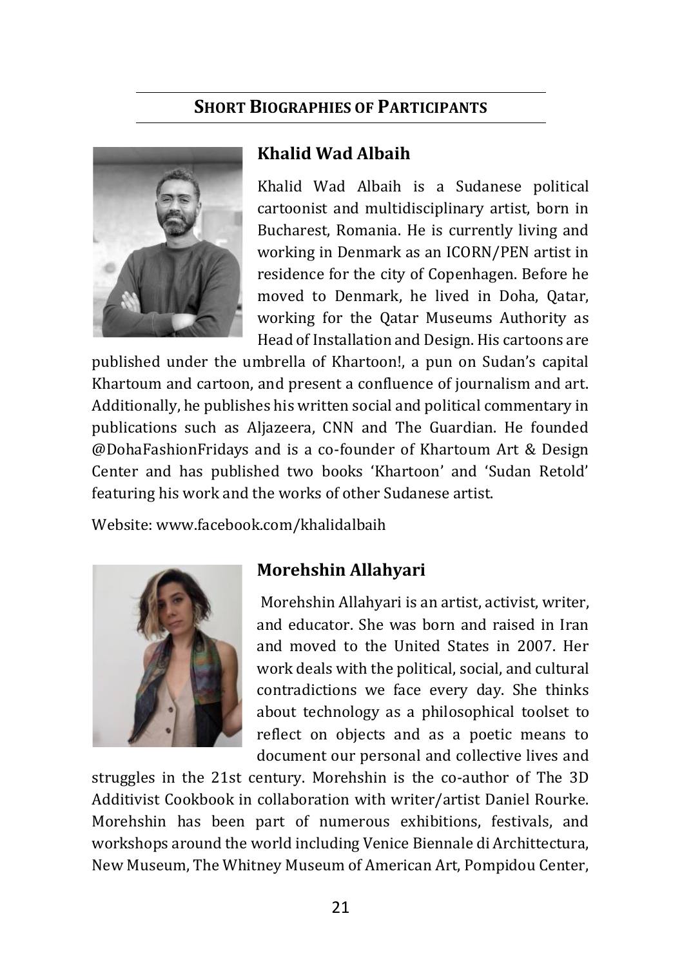#### **SHORT BIOGRAPHIES OF PARTICIPANTS**



#### **Khalid Wad Albaih**

Khalid Wad Albaih is a Sudanese political cartoonist and multidisciplinary artist, born in Bucharest, Romania. He is currently living and working in Denmark as an ICORN/PEN artist in residence for the city of Copenhagen. Before he moved to Denmark, he lived in Doha, Qatar, working for the Qatar Museums Authority as Head of Installation and Design. His cartoons are

published under the umbrella of Khartoon!, a pun on Sudan's capital Khartoum and cartoon, and present a confluence of journalism and art. Additionally, he publishes his written social and political commentary in publications such as Aljazeera, CNN and The Guardian. He founded @DohaFashionFridays and is a co-founder of Khartoum Art & Design Center and has published two books 'Khartoon' and 'Sudan Retold' featuring his work and the works of other Sudanese artist.

Website[: www.facebook.com/khalidalbaih](http://www.facebook.com/khalidalbaih)



#### **Morehshin Allahyari**

Morehshin Allahyari is an artist, activist, writer, and educator. She was born and raised in Iran and moved to the United States in 2007. Her work deals with the political, social, and cultural contradictions we face every day. She thinks about technology as a philosophical toolset to reflect on objects and as a poetic means to document our personal and collective lives and

struggles in the 21st century. Morehshin is the co-author of The 3D Additivist Cookbook in collaboration with writer/artist Daniel Rourke. Morehshin has been part of numerous exhibitions, festivals, and workshops around the world including Venice Biennale di Archittectura, New Museum, The Whitney Museum of American Art, Pompidou Center,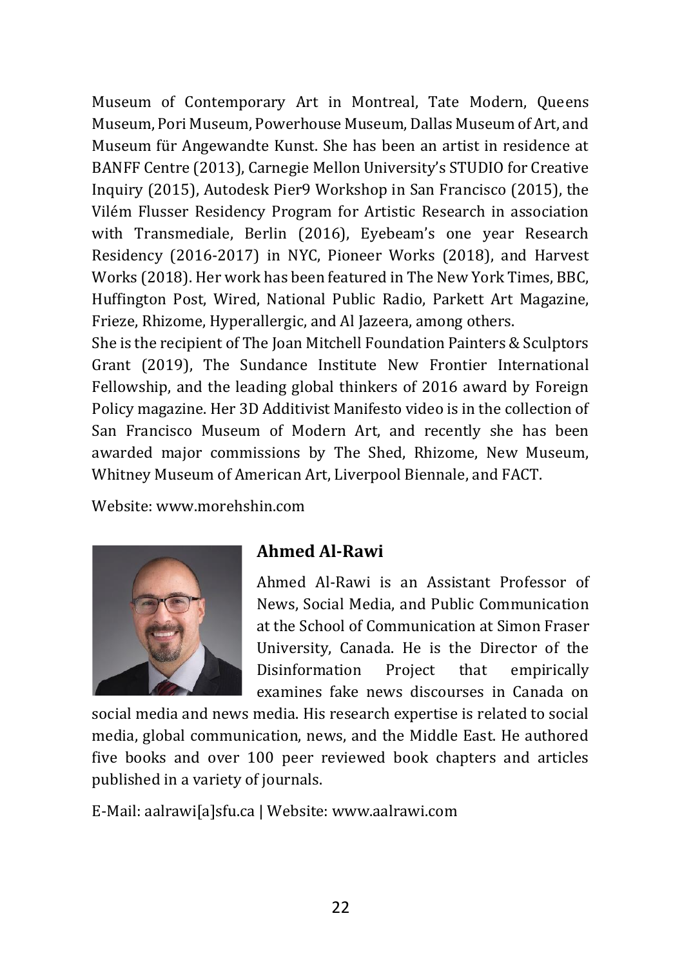Museum of Contemporary Art in Montreal, Tate Modern, Queens Museum, Pori Museum, Powerhouse Museum, Dallas Museum of Art, and Museum für Angewandte Kunst. She has been an artist in residence at BANFF Centre (2013), Carnegie Mellon University's STUDIO for Creative Inquiry (2015), Autodesk Pier9 Workshop in San Francisco (2015), the Vilém Flusser Residency Program for Artistic Research in association with Transmediale, Berlin (2016), Eyebeam's one year Research Residency (2016-2017) in NYC, Pioneer Works (2018), and Harvest Works (2018). Her work has been featured in The New York Times, BBC, Huffington Post, Wired, National Public Radio, Parkett Art Magazine, Frieze, Rhizome, Hyperallergic, and Al Jazeera, among others.

She is the recipient of The Joan Mitchell Foundation Painters & Sculptors Grant (2019), The Sundance Institute New Frontier International Fellowship, and the leading global thinkers of 2016 award by Foreign Policy magazine. Her 3D Additivist Manifesto video is in the collection of San Francisco Museum of Modern Art, and recently she has been awarded major commissions by The Shed, Rhizome, New Museum, Whitney Museum of American Art, Liverpool Biennale, and FACT.

Website[: www.morehshin.com](http://www.morehshin.com/)



#### **Ahmed Al-Rawi**

Ahmed Al-Rawi is an Assistant Professor of News, Social Media, and Public Communication at the School of Communication at [Simon Fraser](http://www.sfu.ca/communication/team/faculty/ahmed-alrawi.html)  [University, Canada.](http://www.sfu.ca/communication/team/faculty/ahmed-alrawi.html) He is the Director of the Disinformation Project that empirically examines fake news discourses in Canada on

social media and news media. His research expertise is related to social media, global communication, news, and the Middle East. He authored five books and over 100 peer reviewed book chapters and articles published in a variety of journals.

E-Mail: [aalrawi\[a\]sfu.ca](mailto:aalrawi@sfu.ca) | Website[: www.aalrawi.com](www.aalrawi.com)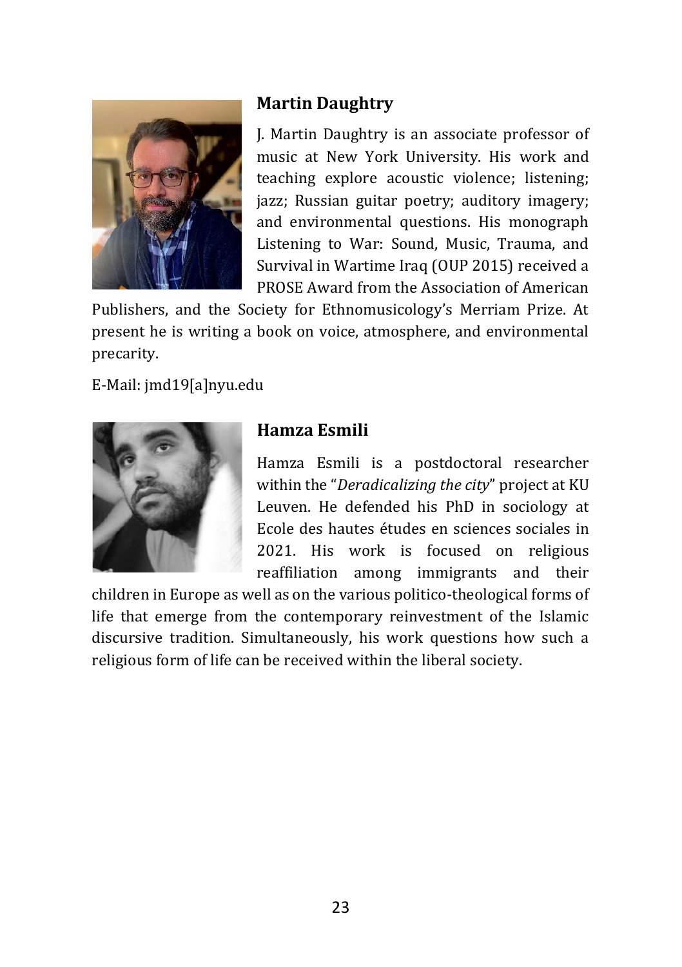

# **Martin Daughtry**

J. Martin Daughtry is an associate professor of music at New York University. His work and teaching explore acoustic violence; listening; jazz; Russian guitar poetry; auditory imagery; and environmental questions. His monograph Listening to War: Sound, Music, Trauma, and Survival in Wartime Iraq (OUP 2015) received a PROSE Award from the Association of American

Publishers, and the Society for Ethnomusicology's Merriam Prize. At present he is writing a book on voice, atmosphere, and environmental precarity.

E-Mail: [jmd19\[a\]nyu.edu](mailto:jmd19@nyu.edu)



# **Hamza Esmili**

Hamza Esmili is a postdoctoral researcher within the "*Deradicalizing the city*" project at KU Leuven. He defended his PhD in sociology at Ecole des hautes études en sciences sociales in 2021. His work is focused on religious reaffiliation among immigrants and their

children in Europe as well as on the various politico-theological forms of life that emerge from the contemporary reinvestment of the Islamic discursive tradition. Simultaneously, his work questions how such a religious form of life can be received within the liberal society.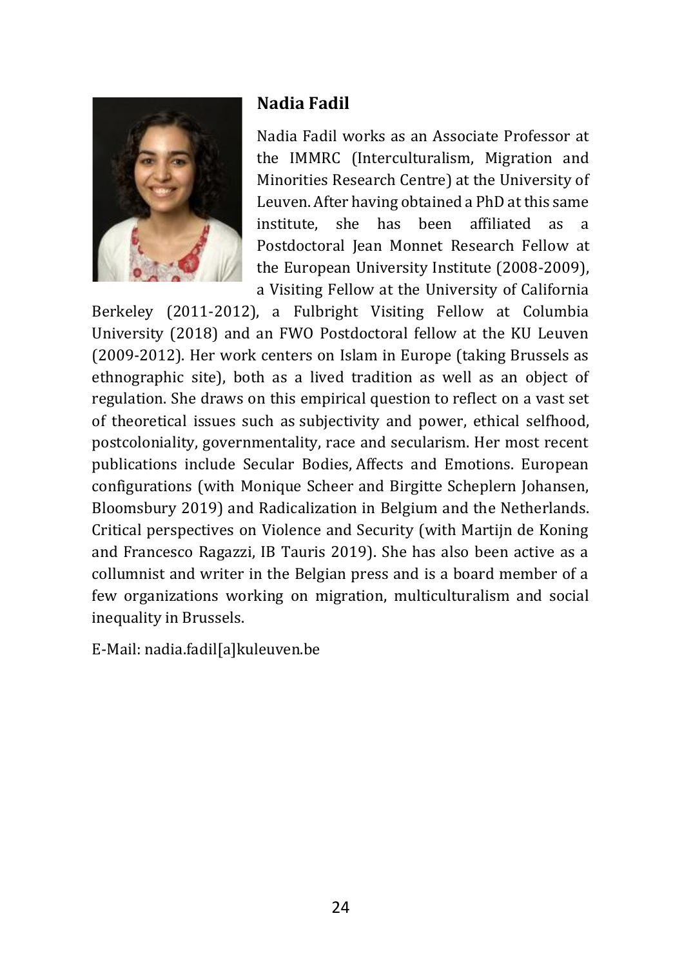

#### **Nadia Fadil**

Nadia Fadil works as an Associate Professor at the IMMRC (Interculturalism, Migration and Minorities Research Centre) at the University of Leuven. After having obtained a PhD at this same institute, she has been affiliated as a Postdoctoral Jean Monnet Research Fellow at the European University Institute (2008-2009), a Visiting Fellow at the University of California

Berkeley (2011-2012), a Fulbright Visiting Fellow at Columbia University (2018) and an FWO Postdoctoral fellow at the KU Leuven (2009-2012). Her work centers on Islam in Europe (taking Brussels as ethnographic site), both as a lived tradition as well as an object of regulation. She draws on this empirical question to reflect on a vast set of theoretical issues such as subjectivity and power, ethical selfhood, postcoloniality, governmentality, race and secularism. Her most recent publications include Secular Bodies, Affects and Emotions. European configurations (with Monique Scheer and Birgitte Scheplern Johansen, Bloomsbury 2019) and Radicalization in Belgium and the Netherlands. Critical perspectives on Violence and Security (with Martijn de Koning and Francesco Ragazzi, IB Tauris 2019). She has also been active as a collumnist and writer in the Belgian press and is a board member of a few organizations working on migration, multiculturalism and social inequality in Brussels.

E-Mail: [nadia.fadil\[a\]kuleuven.be](mailto:nadia.fadil@kuleuven.be)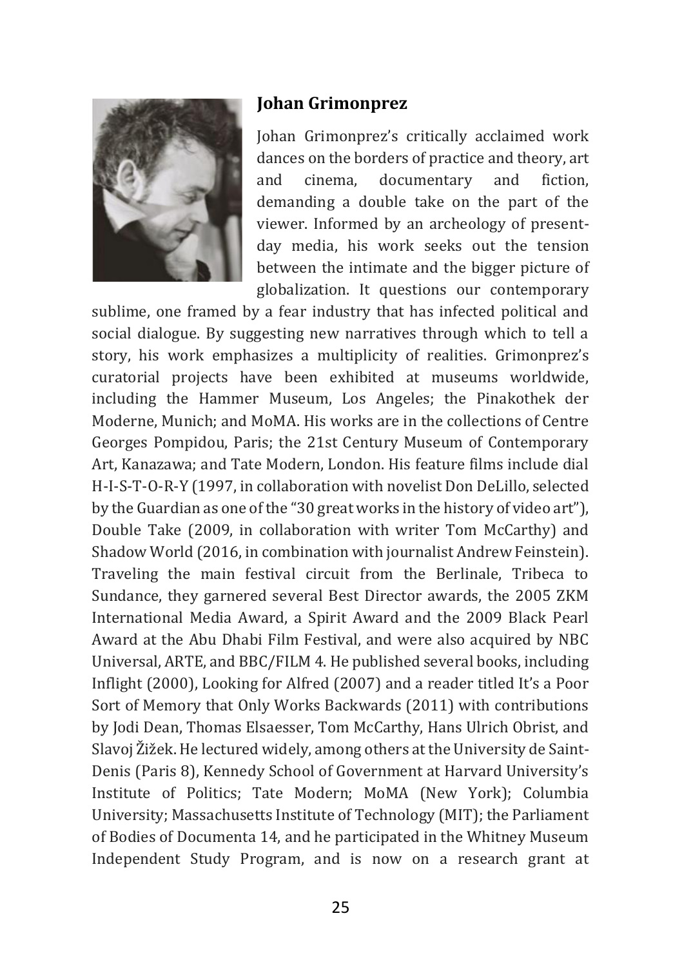

#### **Johan Grimonprez**

Johan Grimonprez's critically acclaimed work dances on the borders of practice and theory, art and cinema, documentary and fiction, demanding a double take on the part of the viewer. Informed by an archeology of presentday media, his work seeks out the tension between the intimate and the bigger picture of globalization. It questions our contemporary

sublime, one framed by a fear industry that has infected political and social dialogue. By suggesting new narratives through which to tell a story, his work emphasizes a multiplicity of realities. Grimonprez's curatorial projects have been exhibited at museums worldwide, including the Hammer Museum, Los Angeles; the Pinakothek der Moderne, Munich; and MoMA. His works are in the collections of Centre Georges Pompidou, Paris; the 21st Century Museum of Contemporary Art, Kanazawa; and Tate Modern, London. His feature films include dial H-I-S-T-O-R-Y (1997, in collaboration with novelist Don DeLillo, selected by the Guardian as one of the "30 great works in the history of video art"), Double Take (2009, in collaboration with writer Tom McCarthy) and Shadow World (2016, in combination with journalist Andrew Feinstein). Traveling the main festival circuit from the Berlinale, Tribeca to Sundance, they garnered several Best Director awards, the 2005 ZKM International Media Award, a Spirit Award and the 2009 Black Pearl Award at the Abu Dhabi Film Festival, and were also acquired by NBC Universal, ARTE, and BBC/FILM 4. He published several books, including Inflight (2000), Looking for Alfred (2007) and a reader titled It's a Poor Sort of Memory that Only Works Backwards (2011) with contributions by Jodi Dean, Thomas Elsaesser, Tom McCarthy, Hans Ulrich Obrist, and Slavoj Žižek. He lectured widely, among others at the University de Saint-Denis (Paris 8), Kennedy School of Government at Harvard University's Institute of Politics; Tate Modern; MoMA (New York); Columbia University; Massachusetts Institute of Technology (MIT); the Parliament of Bodies of Documenta 14, and he participated in the Whitney Museum Independent Study Program, and is now on a research grant at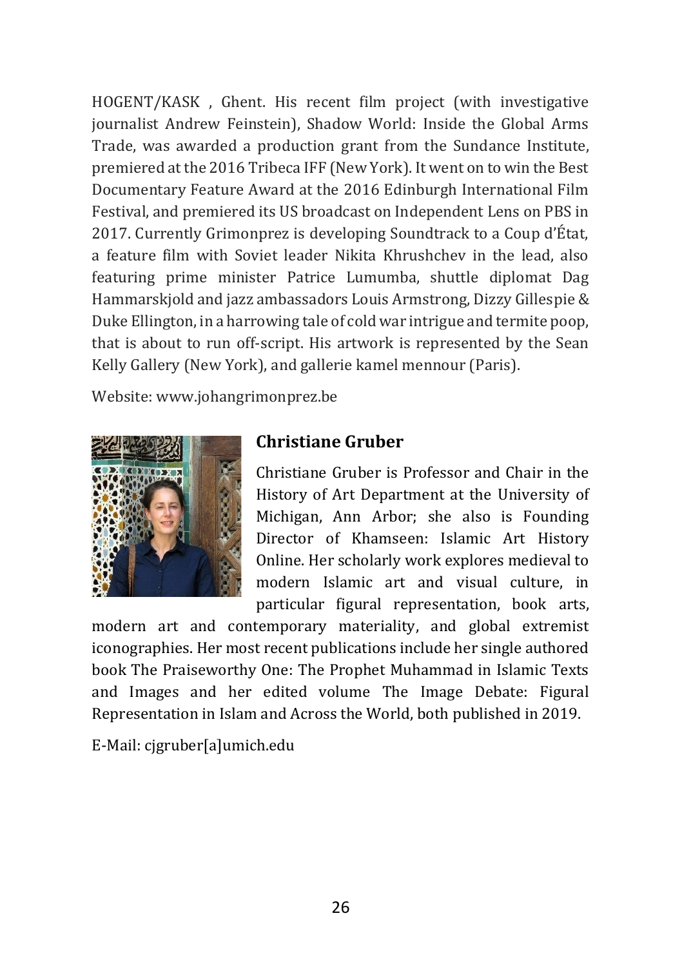HOGENT/KASK , Ghent. His recent film project (with investigative journalist Andrew Feinstein), Shadow World: Inside the Global Arms Trade, was awarded a production grant from the Sundance Institute, premiered at the 2016 Tribeca IFF (New York). It went on to win the Best Documentary Feature Award at the 2016 Edinburgh International Film Festival, and premiered its US broadcast on Independent Lens on PBS in 2017. Currently Grimonprez is developing Soundtrack to a Coup d'État, a feature film with Soviet leader Nikita Khrushchev in the lead, also featuring prime minister Patrice Lumumba, shuttle diplomat Dag Hammarskjold and jazz ambassadors Louis Armstrong, Dizzy Gillespie & Duke Ellington, in a harrowing tale of cold war intrigue and termite poop, that is about to run off-script. His artwork is represented by the Sean Kelly Gallery (New York), and gallerie kamel mennour (Paris).

Website[: www.johangrimonprez.be](http://www.johangrimonprez.be/)



#### **Christiane Gruber**

Christiane Gruber is Professor and Chair in the History of Art Department at the [University of](https://sites.lsa.umich.edu/christianegruber/)  [Michigan, Ann Arbor;](https://sites.lsa.umich.edu/christianegruber/) she also is Founding Director of [Khamseen: Islamic Art History](https://sites.lsa.umich.edu/khamseen/)  [Online.](https://sites.lsa.umich.edu/khamseen/) Her scholarly work explores medieval to modern Islamic art and visual culture, in particular figural representation, book arts,

modern art and contemporary materiality, and global extremist iconographies. Her most recent publications include her single authored book The Praiseworthy One: The Prophet Muhammad in Islamic Texts and Images and her edited volume The Image Debate: Figural Representation in Islam and Across the World, both published in 2019.

E-Mail: [cjgruber\[a\]umich.edu](mailto:cjgruber@umich.edu)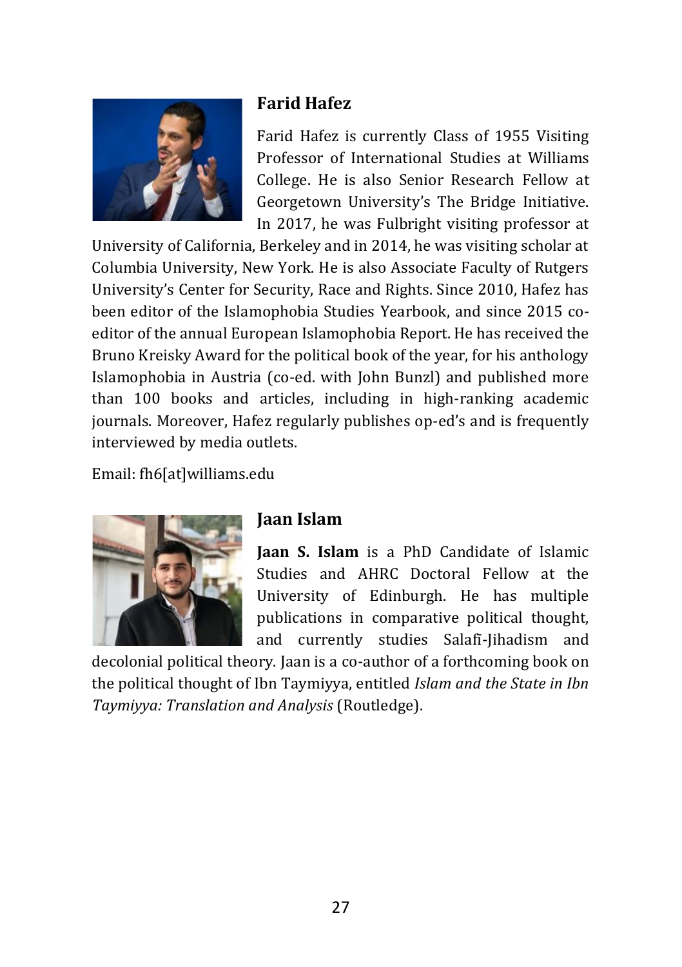

#### **Farid Hafez**

Farid Hafez is currently Class of 1955 Visiting Professor of International Studies at [Williams](https://global-studies.williams.edu/profile/fh6/)  [College.](https://global-studies.williams.edu/profile/fh6/) He is also Senior Research Fellow at Georgetown University's The Bridge Initiative. In 2017, he was Fulbright visiting professor at

University of California, Berkeley and in 2014, he was visiting scholar at Columbia University, New York. He is also Associate Faculty of Rutgers University's Center for Security, Race and Rights. Since 2010, Hafez has been editor of the Islamophobia Studies Yearbook, and since 2015 coeditor of the annual European Islamophobia Report. He has received the Bruno Kreisky Award for the political book of the year, for his anthology Islamophobia in Austria (co-ed. with John Bunzl) and published more than 100 books and articles, including in high-ranking academic journals. Moreover, Hafez regularly publishes op-ed's and is frequently interviewed by media outlets.

Email: [fh6\[at\]williams.edu](mailto:fh6@williams.edu)



#### **Jaan Islam**

**Jaan S. Islam** is a PhD Candidate of Islamic Studies and AHRC Doctoral Fellow at the University of Edinburgh. He has multiple publications in comparative political thought, and currently studies Salafī-Jihadism and

decolonial political theory. Jaan is a co-author of a forthcoming book on the political thought of Ibn Taymiyya, entitled *Islam and the State in Ibn Taymiyya: Translation and Analysis* (Routledge).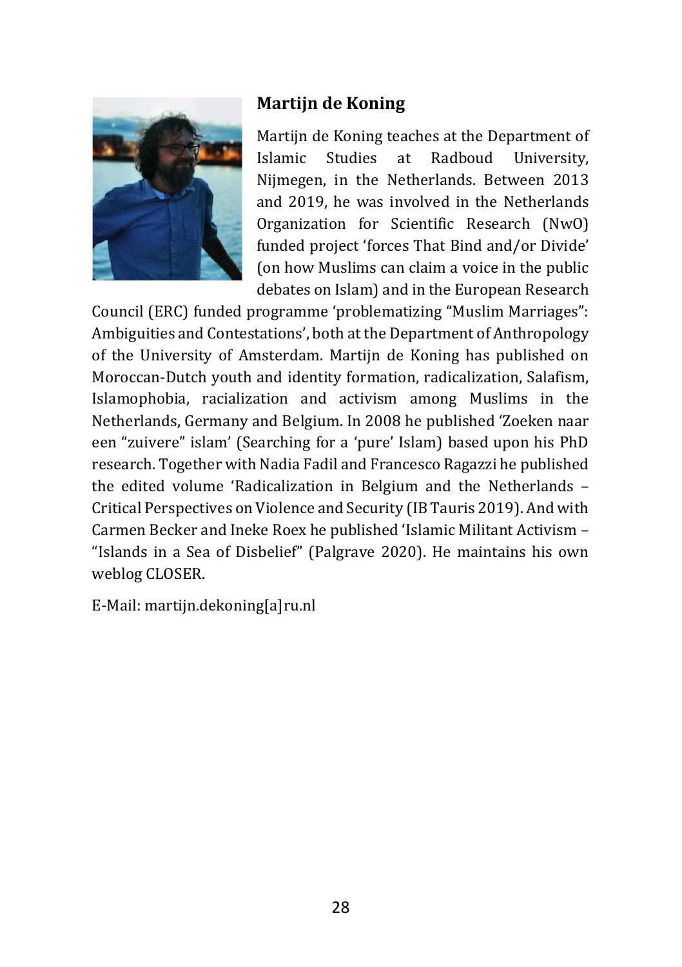

# **Martijn de Koning**

Martijn de Koning teaches at the Department of Islamic Studies at [Radboud University,](https://www.ru.nl/english/people/koning-m-de/)  [Nijmegen,](https://www.ru.nl/english/people/koning-m-de/) in the Netherlands. Between 2013 and 2019, he was involved in the Netherlands Organization for Scientific Research (NwO) funded project 'forces That Bind and/or Divide' (on how Muslims can claim a voice in the public debates on Islam) and in the European Research

Council (ERC) funded programme 'problematizing "Muslim Marriages": Ambiguities and Contestations', both at the Department of Anthropology of the University of Amsterdam. Martijn de Koning has published on Moroccan-Dutch youth and identity formation, radicalization, Salafism, Islamophobia, racialization and activism among Muslims in the Netherlands, Germany and Belgium. In 2008 he published 'Zoeken naar een "zuivere" islam' (Searching for a 'pure' Islam) based upon his PhD research. Together with Nadia Fadil and Francesco Ragazzi he published the edited volume 'Radicalization in Belgium and the Netherlands – Critical Perspectives on Violence and Security (IB Tauris 2019). And with Carmen Becker and Ineke Roex he published 'Islamic Militant Activism – "Islands in a Sea of Disbelief" (Palgrave 2020). He maintains his own weblog [CLOSER.](http://religionresearch.org/closer/)

E-Mail: [martijn.dekoning\[a\]ru.nl](mailto:martijn.dekoning@ru.nl)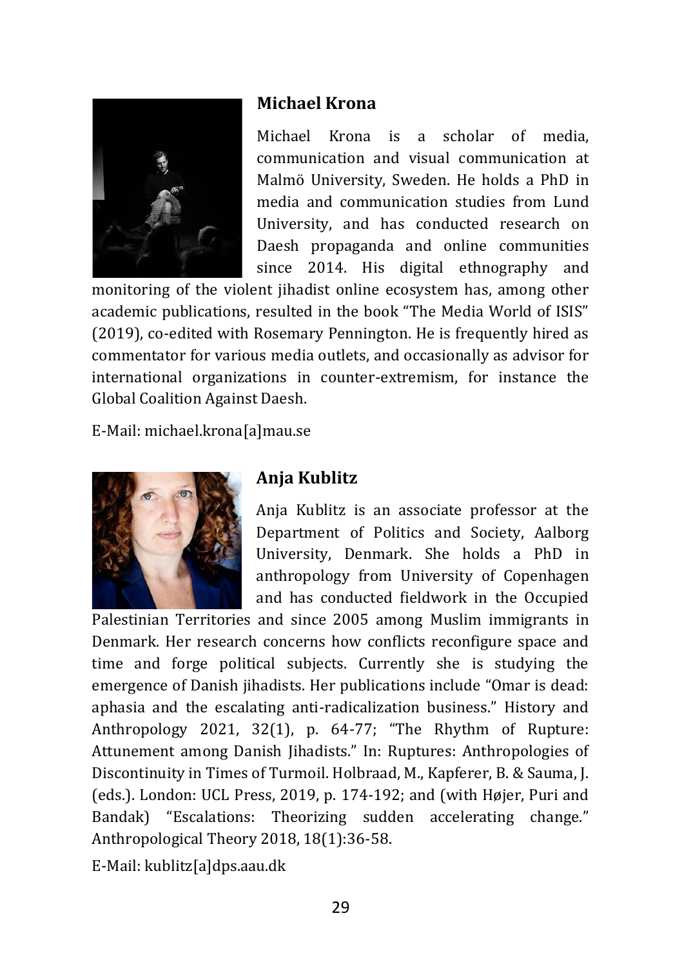

#### **Michael Krona**

Michael Krona is a scholar of media, communication and visual communication at Malmö University, Sweden. He holds a PhD in media and communication studies from Lund University, and has conducted research on Daesh propaganda and online communities since 2014. His digital ethnography and

monitoring of the violent jihadist online ecosystem has, among other academic publications, resulted in the book "The Media World of ISIS" (2019), co-edited with Rosemary Pennington. He is frequently hired as commentator for various media outlets, and occasionally as advisor for international organizations in counter-extremism, for instance the Global Coalition Against Daesh.

E-Mail: [michael.krona\[a\]mau.se](mailto:michael.krona@mau.se)



#### **Anja Kublitz**

Anja Kublitz is an associate professor at the Department of Politics and Society, Aalborg University, Denmark. She holds a PhD in anthropology from University of Copenhagen and has conducted fieldwork in the Occupied

Palestinian Territories and since 2005 among Muslim immigrants in Denmark. Her research concerns how conflicts reconfigure space and time and forge political subjects. Currently she is studying the emergence of Danish jihadists. Her publications include "Omar is dead: aphasia and the escalating anti-radicalization business." History and Anthropology 2021, 32(1), p. 64-77; "The Rhythm of Rupture: Attunement among Danish Jihadists." In: Ruptures: Anthropologies of Discontinuity in Times of Turmoil. Holbraad, M., Kapferer, B. & Sauma, J. (eds.). London: UCL Press, 2019, p. 174-192; and (with Højer, Puri and Bandak) "Escalations: Theorizing sudden accelerating change." Anthropological Theory 2018, 18(1):36-58.

E-Mail: [kublitz\[a\]dps.aau.dk](mailto:kublitz@dps.aau.dk)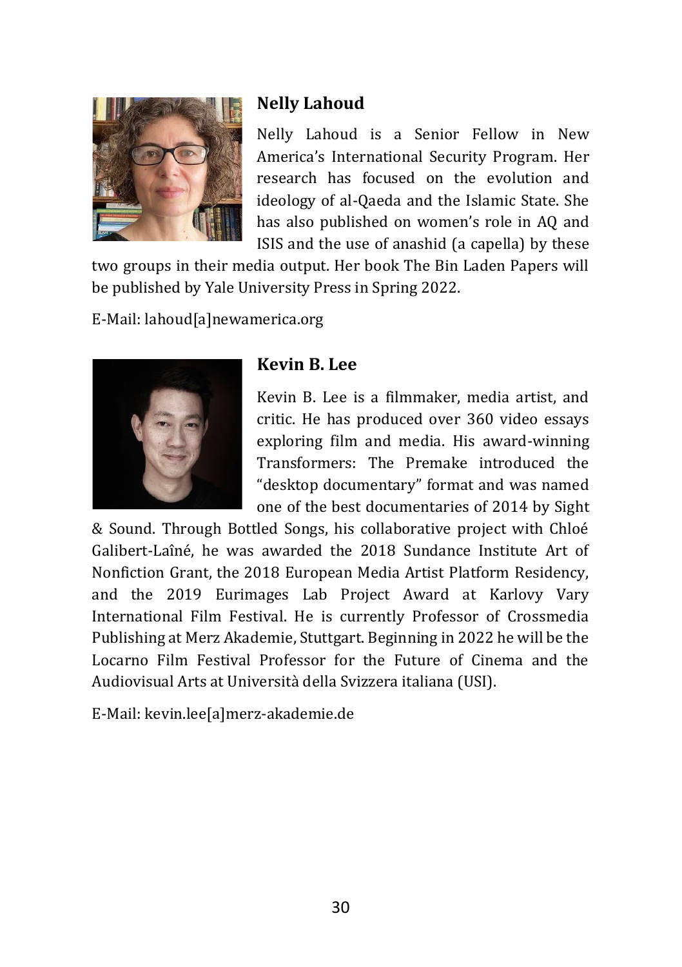

# **Nelly Lahoud**

Nelly Lahoud is a Senior Fellow in [New](https://www.newamerica.org/international-security/)  [America's International Security Program](https://www.newamerica.org/international-security/). Her research has focused on the evolution and ideology of al-Qaeda and the Islamic State. She has also published on women's role in AQ and ISIS and the use of anashid (a capella) by these

two groups in their media output. Her book The Bin Laden Papers will be published by Yale University Press in Spring 2022.

E-Mail: [lahoud\[a\]newamerica.org](mailto:lahoud@newamerica.org)



#### **Kevin B. Lee**

Kevin B. Lee is a filmmaker, media artist, and critic. He has produced over 360 video essays exploring film and media. His award-winning Transformers: The Premake introduced the "desktop documentary" format and was named one of the best documentaries of 2014 by Sight

& Sound. Through Bottled Songs, his collaborative project with Chloé Galibert-Laîné, he was awarded the 2018 Sundance Institute Art of Nonfiction Grant, the 2018 European Media Artist Platform Residency, and the 2019 Eurimages Lab Project Award at Karlovy Vary International Film Festival. He is currently Professor of Crossmedia Publishing at Merz Akademie, Stuttgart. Beginning in 2022 he will be the Locarno Film Festival Professor for the Future of Cinema and the Audiovisual Arts at Università della Svizzera italiana (USI).

E-Mail: [kevin.lee\[a\]merz-akademie.de](mailto:kevin.lee@merz-akademie.de)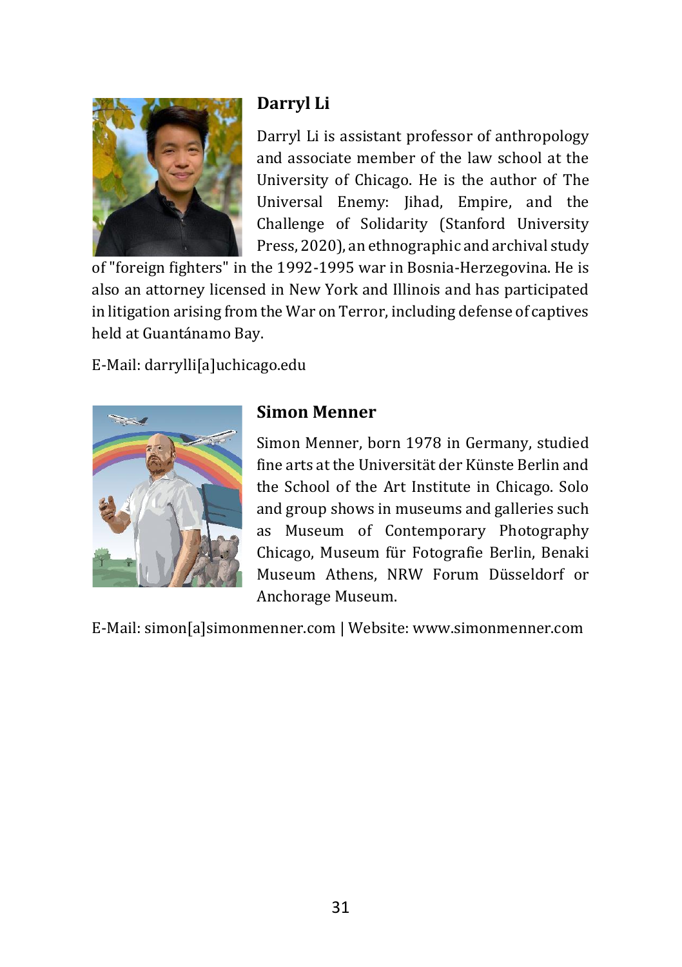

# **Darryl Li**

Darryl Li is assistant professor of anthropology and associate member of the law school at the [University of Chicago.](https://anthropology.uchicago.edu/people/faculty/darryl-li) He is the author of The Universal Enemy: Jihad, Empire, and the Challenge of Solidarity (Stanford University Press, 2020), an ethnographic and archival study

of "foreign fighters" in the 1992-1995 war in Bosnia-Herzegovina. He is also an attorney licensed in New York and Illinois and has participated in litigation arising from the War on Terror, including defense of captives held at Guantánamo Bay.

E-Mail: [darrylli\[a\]uchicago.edu](mailto:darrylli@uchicago.edu)



# **Simon Menner**

Simon Menner, born 1978 in Germany, studied fine arts at the Universität der Künste Berlin and the School of the Art Institute in Chicago. Solo and group shows in museums and galleries such as Museum of Contemporary Photography Chicago, Museum für Fotografie Berlin, Benaki Museum Athens, NRW Forum Düsseldorf or Anchorage Museum.

E-Mail: [simon\[a\]simonmenner.com](mailto:simon@simonmenner.com) | Website[: www.simonmenner.com](https://simonmenner.com/)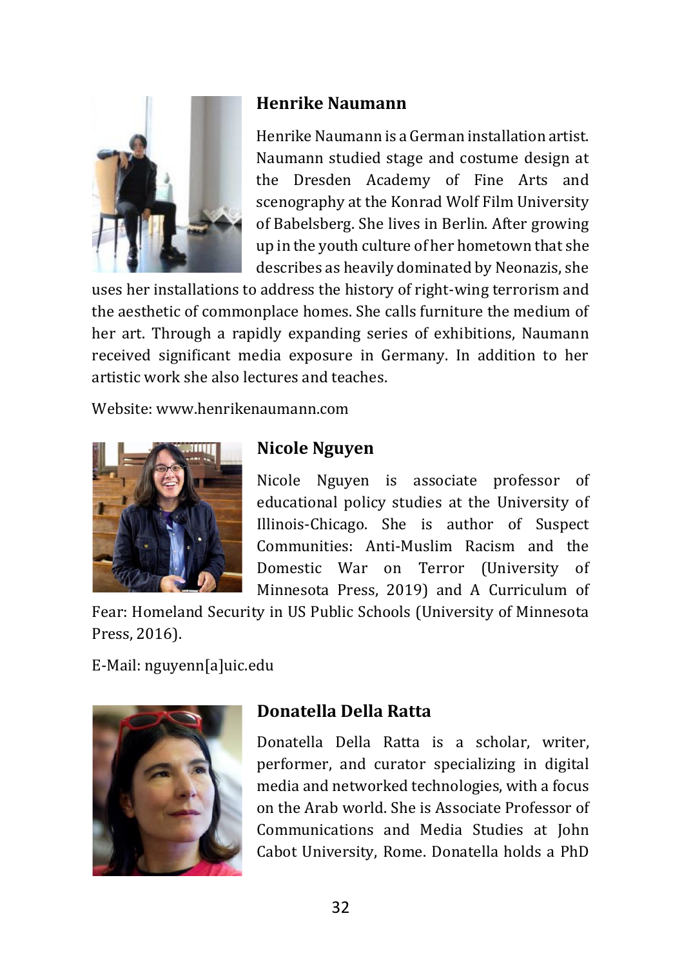

# **Henrike Naumann**

Henrike Naumann is a German installation artist. Naumann studied stage and costume design at the Dresden Academy of Fine Arts and scenography at the Konrad Wolf Film University of Babelsberg. She lives in Berlin. After growing up in the youth culture of her hometown that she describes as heavily dominated by Neonazis, she

uses her installations to address the history of right-wing terrorism and the aesthetic of commonplace homes. She calls furniture the medium of her art. Through a rapidly expanding series of exhibitions, Naumann received significant media exposure in Germany. In addition to her artistic work she also lectures and teaches.

Website[: www.henrikenaumann.com](http://www.henrikenaumann.com/)



# **Nicole Nguyen**

Nicole Nguyen is associate professor of educational policy studies at the University of Illinois-Chicago. She is author of Suspect Communities: Anti-Muslim Racism and the Domestic War on Terror (University of Minnesota Press, 2019) and A Curriculum of

Fear: Homeland Security in US Public Schools (University of Minnesota Press, 2016).

E-Mail: [nguyenn\[a\]uic.edu](mailto:nguyenn@uic.edu)



# **Donatella Della Ratta**

Donatella Della Ratta is a scholar, writer, performer, and curator specializing in digital media and networked technologies, with a focus on the Arab world. She is Associate Professor of Communications and Media Studies at John Cabot University, Rome. Donatella holds a PhD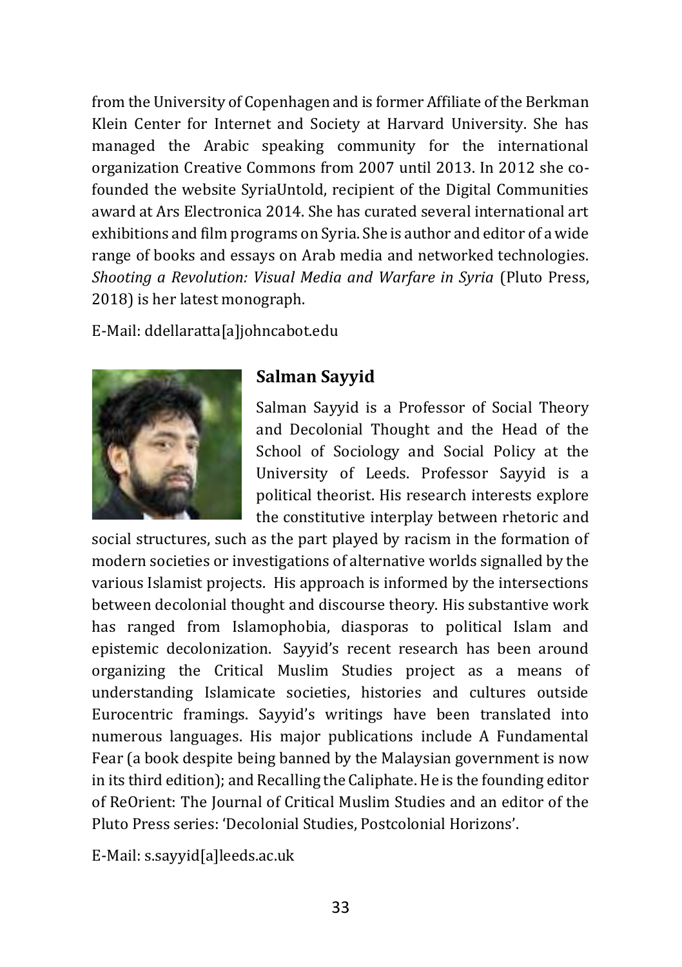from the University of Copenhagen and is former Affiliate of the Berkman Klein Center for Internet and Society at Harvard University. She has managed the Arabic speaking community for the international organization Creative Commons from 2007 until 2013. In 2012 she cofounded the website SyriaUntold, recipient of the Digital Communities award at Ars Electronica 2014. She has curated several international art exhibitions and film programs on Syria. She is author and editor of a wide range of books and essays on Arab media and networked technologies. *Shooting a Revolution: Visual Media and Warfare in Syria* (Pluto Press, 2018) is her latest monograph.

E-Mail: [ddellaratta\[a\]johncabot.edu](mailto:ddellaratta@johncabot.edu)



#### **Salman Sayyid**

Salman Sayyid is a Professor of Social Theory and Decolonial Thought and the Head of the School of Sociology and Social Policy at the University of Leeds. Professor Sayyid is a political theorist. His research interests explore the constitutive interplay between rhetoric and

social structures, such as the part played by racism in the formation of modern societies or investigations of alternative worlds signalled by the various Islamist projects. His approach is informed by the intersections between decolonial thought and discourse theory. His substantive work has ranged from Islamophobia, diasporas to political Islam and epistemic decolonization. Sayyid's recent research has been around organizing the Critical Muslim Studies project as a means of understanding Islamicate societies, histories and cultures outside Eurocentric framings. Sayyid's writings have been translated into numerous languages. His major publications include A Fundamental Fear (a book despite being banned by the Malaysian government is now in its third edition); and Recalling the Caliphate. He is the founding editor of ReOrient: The Journal of Critical Muslim Studies and an editor of the Pluto Press series: 'Decolonial Studies, Postcolonial Horizons'.

E-Mail: [s.sayyid\[a\]leeds.ac.uk](mailto:s.sayyid@leeds.ac.uk)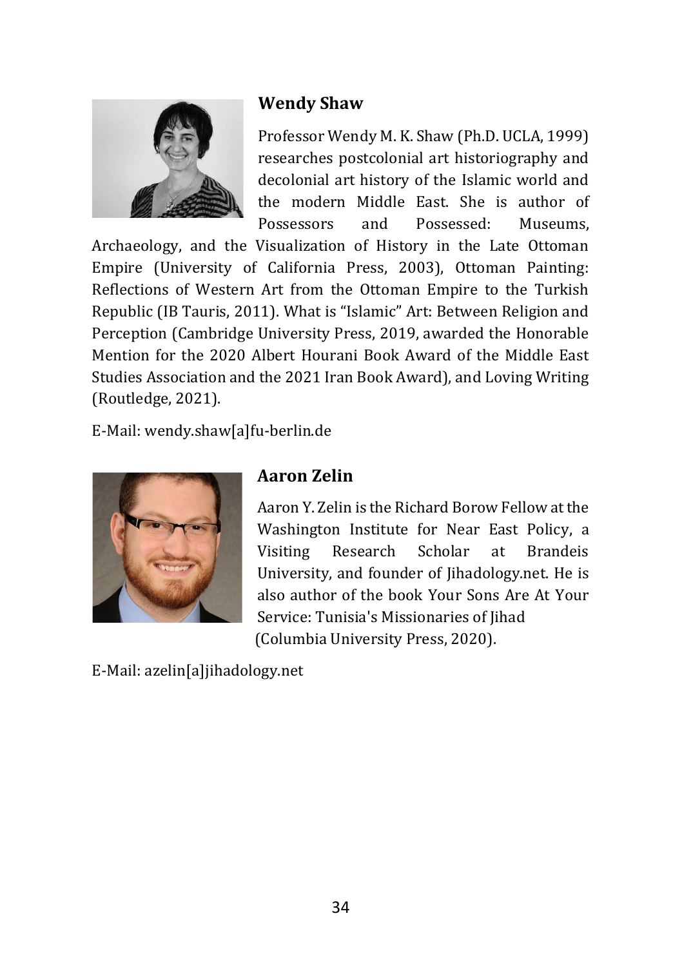

# **Wendy Shaw**

Professor Wendy M. K. Shaw (Ph.D. UCLA, 1999) researches postcolonial art historiography and decolonial art history of the Islamic world and the modern Middle East. She is author of Possessors and Possessed: Museums,

Archaeology, and the Visualization of History in the Late Ottoman Empire (University of California Press, 2003), Ottoman Painting: Reflections of Western Art from the Ottoman Empire to the Turkish Republic (IB Tauris, 2011). What is "Islamic" Art: Between Religion and Perception (Cambridge University Press, 2019, awarded the Honorable Mention for the 2020 Albert Hourani Book Award of the Middle East Studies Association and the 2021 Iran Book Award), and Loving Writing (Routledge, 2021).

E-Mail: [wendy.shaw\[a\]fu-berlin.de](mailto:wendy.shaw@fu-berlin.de)



#### **Aaron Zelin**

Aaron Y. Zelin is the Richard Borow Fellow at the [Washington Institute for Near East Policy,](https://www.washingtoninstitute.org/experts/aaron-y-zelin) a Visiting Research Scholar at Brandeis University, and founder of [Jihadology.net.](https://jihadology.net/) He is also author of the book Your Sons Are At Your Service: Tunisia's Missionaries of Jihad (Columbia University Press, 2020).

E-Mail: [azelin\[a\]jihadology.net](mailto:azelin@jihadology.net)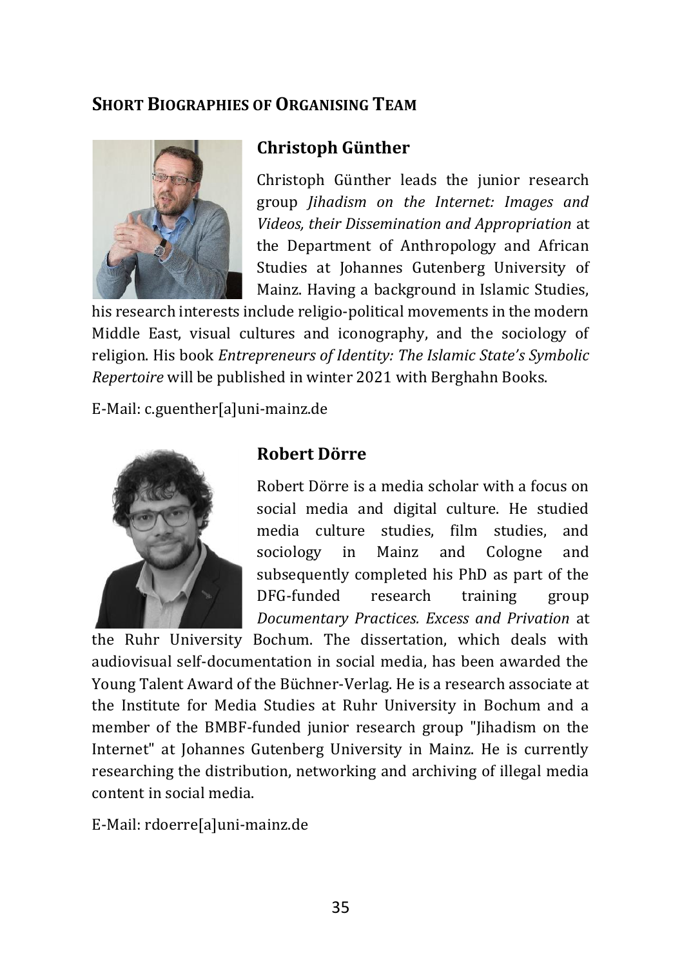# **SHORT BIOGRAPHIES OF ORGANISING TEAM**



#### **Christoph Günther**

[Christoph Günther](https://uni-mainz.academia.edu/ChristophG%C3%BCnther) leads the junior research group *[Jihadism on the Internet: Images and](https://www.blogs.uni-mainz.de/fb07-ifeas-eng/jihadism-on-the-internet-images-and-videos-their-appropriation-and-dissemination/)  [Videos, their Dissemination and Appropriation](https://www.blogs.uni-mainz.de/fb07-ifeas-eng/jihadism-on-the-internet-images-and-videos-their-appropriation-and-dissemination/)* at the Department of Anthropology and African Studies at Johannes Gutenberg University of Mainz. Having a background in Islamic Studies,

his research interests include religio-political movements in the modern Middle East, visual cultures and iconography, and the sociology of religion. His book *[Entrepreneurs of Identity: The Islamic State'](https://www.berghahnbooks.com/title/GuntherEntrepreneurs/recommend)s Symbolic [Repertoire](https://www.berghahnbooks.com/title/GuntherEntrepreneurs/recommend)* will be published in winter 2021 with Berghahn Books.

E-Mail: [c.guenther\[a\]uni-mainz.de](mailto:c.guenther@uni-mainz.de)



#### **Robert Dörre**

[Robert Dörre](https://rub.academia.edu/RobertD%C3%B6rre) is a media scholar with a focus on social media and digital culture. He studied media culture studies, film studies, and sociology in Mainz and Cologne and subsequently completed his PhD as part of the DFG-funded research training group *[Documentary Practices. Excess and Privation](https://das-dokumentarische.blogs.ruhr-uni-bochum.de/en/start/)* at

the Ruhr University Bochum. The dissertation, which deals with audiovisual self-documentation in social media, has been awarded the Young Talent Award of the Büchner-Verlag. He is a research associate at the Institute for Media Studies at Ruhr University in Bochum and a member of the BMBF-funded junior research group "Jihadism on the Internet" at Johannes Gutenberg University in Mainz. He is currently researching the distribution, networking and archiving of illegal media content in social media.

E-Mail: [rdoerre\[a\]uni-mainz.de](mailto:rdoerre@uni-mainz.de)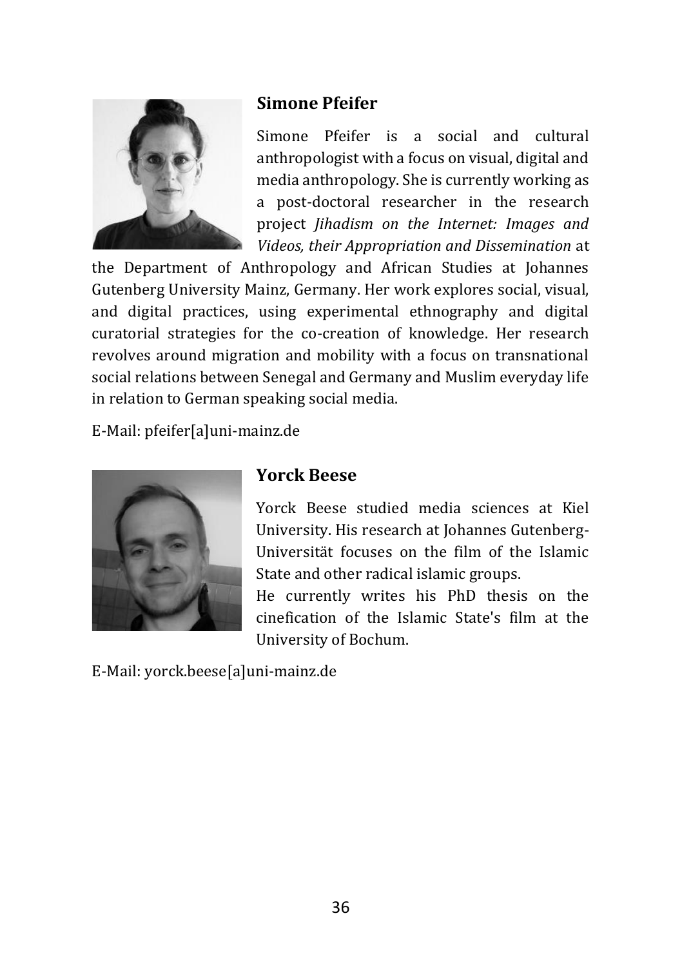

# **Simone Pfeifer**

[Simone Pfeifer](https://uni-mainz.academia.edu/SimonePfeifer?from_navbar=true) is a social and cultural anthropologist with a focus on visual, digital and media anthropology. She is currently working as a post-doctoral researcher in the research project *Jihadism on the Internet: Images and Videos, their Appropriation and Dissemination* at

the Department of Anthropology and African Studies at Johannes Gutenberg University Mainz, Germany. Her work explores social, visual, and digital practices, using experimental ethnography and digital curatorial strategies for the co-creation of knowledge. Her research revolves around migration and mobility with a focus on transnational social relations between Senegal and Germany and Muslim everyday life in relation to German speaking social media.

E-Mail: [pfeifer\[a\]uni-mainz.de](mailto:pfeifer@uni-mainz.de)



# **Yorck Beese**

[Yorck Beese](https://uni-mainz.academia.edu/YorckBeese) studied media sciences at Kiel University. His research at Johannes Gutenberg-Universität focuses on the film of the Islamic State and other radical islamic groups.

He currently writes his PhD thesis on the cinefication of the Islamic State's film at the University of Bochum.

E-Mail: [yorck.beese\[a\]uni-mainz.de](mailto:yorck.beese@uni-mainz.de)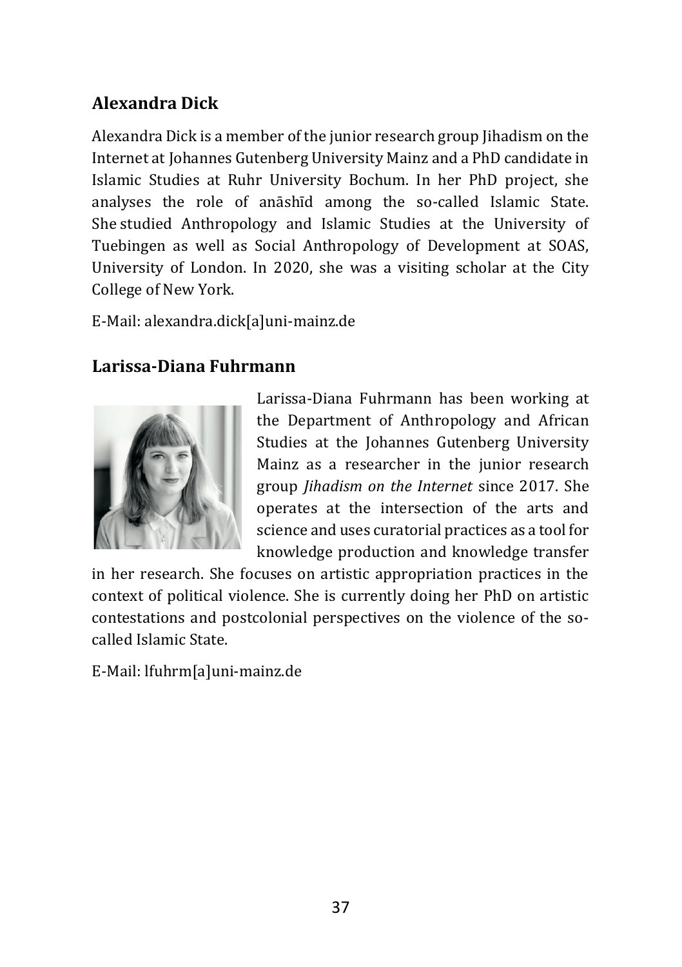# **Alexandra Dick**

[Alexandra Dick](https://vfg-mz.academia.edu/AlexandraDick) is a member of the junior research group Jihadism on the Internet at Johannes Gutenberg University Mainz and a PhD candidate in Islamic Studies at Ruhr University Bochum. In her PhD project, she analyses the role of anāshīd among the so-called Islamic State. She studied Anthropology and Islamic Studies at the University of Tuebingen as well as Social Anthropology of Development at SOAS, University of London. In 2020, she was a visiting scholar at the City College of New York.

E-Mail: [alexandra.dick\[a\]uni-mainz.de](mailto:alexandra.dick@uni-mainz.de)

# **Larissa-Diana Fuhrmann**



[Larissa-Diana Fuhrmann](https://www.researchgate.net/profile/Larissa-Diana-Fuhrmann) has been working at the Department of Anthropology and African Studies at the Johannes Gutenberg University Mainz as a researcher in the junior research group *Jihadism on the Internet* since 2017. She operates at the intersection of the arts and science and uses curatorial practices as a tool for knowledge production and knowledge transfer

in her research. She focuses on artistic appropriation practices in the context of political violence. She is currently doing her PhD on artistic contestations and postcolonial perspectives on the violence of the socalled Islamic State.

E-Mail: [lfuhrm\[a\]uni-mainz.de](mailto:lfuhrm@uni-mainz.de)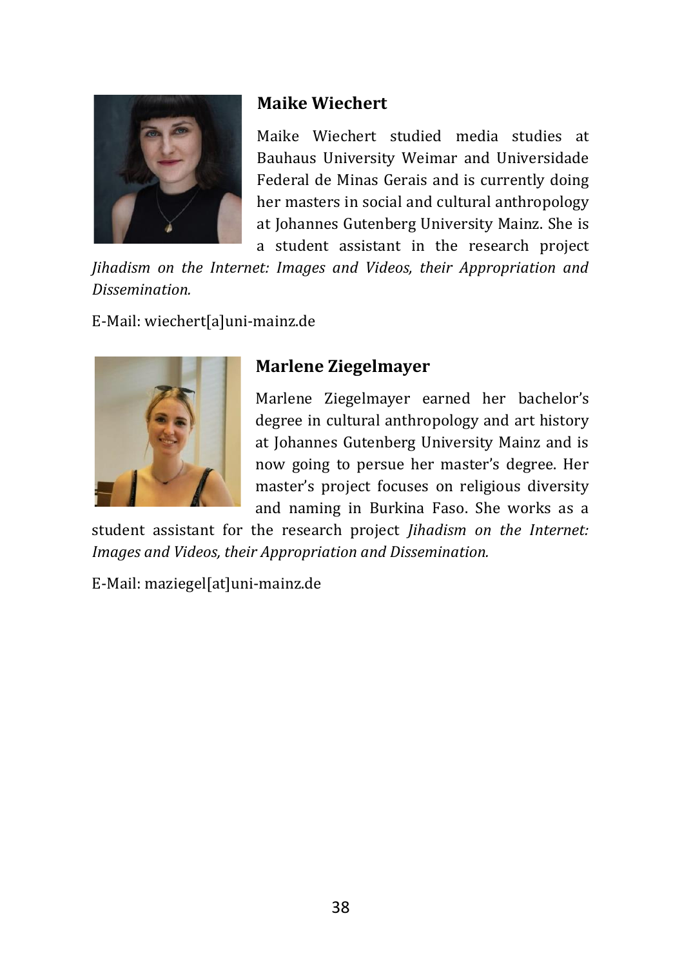

# **Maike Wiechert**

Maike Wiechert studied media studies at Bauhaus University Weimar and Universidade Federal de Minas Gerais and is currently doing her masters in social and cultural anthropology at Johannes Gutenberg University Mainz. She is a student assistant in the research project

*Jihadism on the Internet: Images and Videos, their Appropriation and Dissemination.*

E-Mail[: wiechert\[a\]uni-mainz.de](mailto:wiechert@uni-mainz.de)



# **Marlene Ziegelmayer**

Marlene Ziegelmayer earned her bachelor's degree in cultural anthropology and art history at Johannes Gutenberg University Mainz and is now going to persue her master's degree. Her master's project focuses on religious diversity and naming in Burkina Faso. She works as a

student assistant for the research project *Jihadism on the Internet: Images and Videos, their Appropriation and Dissemination.*

E-Mail: [maziegel\[at\]uni-mainz.de](mailto:maziegel@uni-mainz.de)